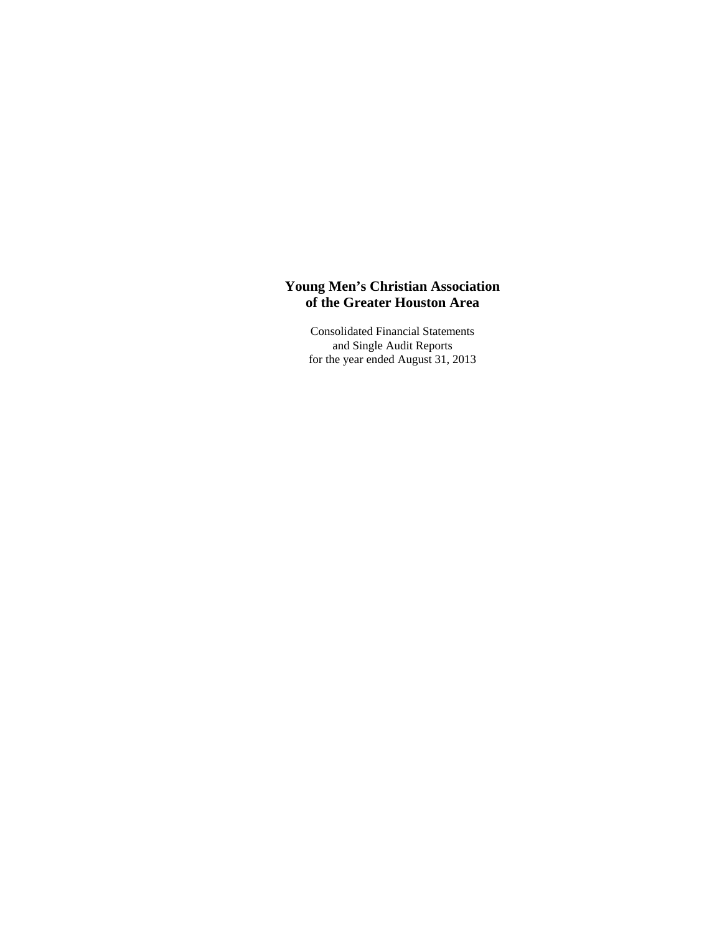Consolidated Financial Statements and Single Audit Reports for the year ended August 31, 2013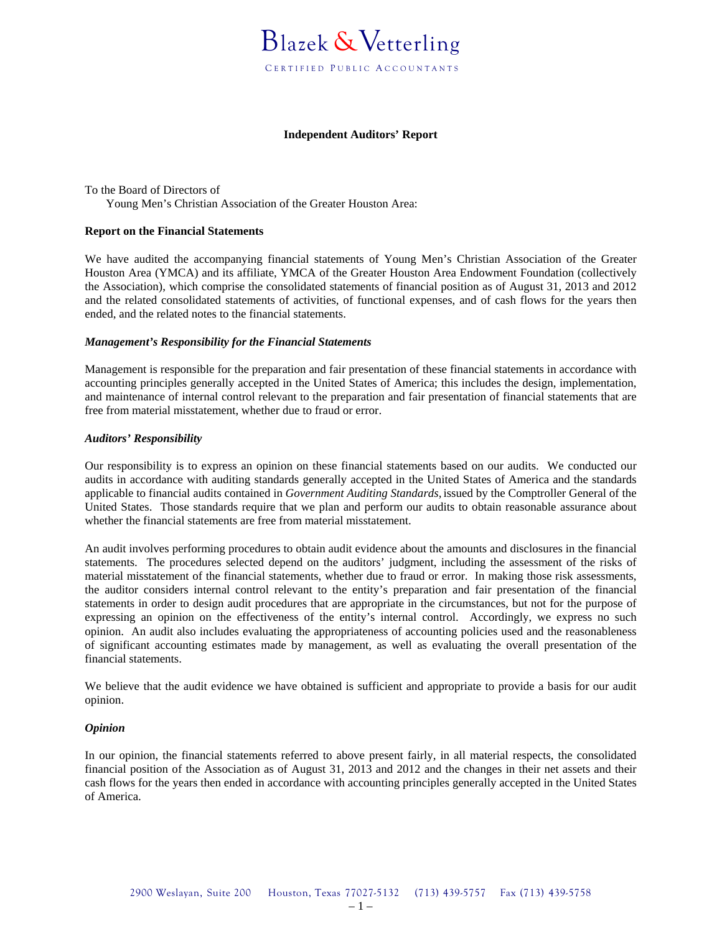

#### **Independent Auditors' Report**

To the Board of Directors of Young Men's Christian Association of the Greater Houston Area:

#### **Report on the Financial Statements**

We have audited the accompanying financial statements of Young Men's Christian Association of the Greater Houston Area (YMCA) and its affiliate, YMCA of the Greater Houston Area Endowment Foundation (collectively the Association), which comprise the consolidated statements of financial position as of August 31, 2013 and 2012 and the related consolidated statements of activities, of functional expenses, and of cash flows for the years then ended, and the related notes to the financial statements.

#### *Management's Responsibility for the Financial Statements*

Management is responsible for the preparation and fair presentation of these financial statements in accordance with accounting principles generally accepted in the United States of America; this includes the design, implementation, and maintenance of internal control relevant to the preparation and fair presentation of financial statements that are free from material misstatement, whether due to fraud or error.

#### *Auditors' Responsibility*

Our responsibility is to express an opinion on these financial statements based on our audits. We conducted our audits in accordance with auditing standards generally accepted in the United States of America and the standards applicable to financial audits contained in *Government Auditing Standards,* issued by the Comptroller General of the United States. Those standards require that we plan and perform our audits to obtain reasonable assurance about whether the financial statements are free from material misstatement.

An audit involves performing procedures to obtain audit evidence about the amounts and disclosures in the financial statements. The procedures selected depend on the auditors' judgment, including the assessment of the risks of material misstatement of the financial statements, whether due to fraud or error. In making those risk assessments, the auditor considers internal control relevant to the entity's preparation and fair presentation of the financial statements in order to design audit procedures that are appropriate in the circumstances, but not for the purpose of expressing an opinion on the effectiveness of the entity's internal control. Accordingly, we express no such opinion. An audit also includes evaluating the appropriateness of accounting policies used and the reasonableness of significant accounting estimates made by management, as well as evaluating the overall presentation of the financial statements.

We believe that the audit evidence we have obtained is sufficient and appropriate to provide a basis for our audit opinion.

#### *Opinion*

In our opinion, the financial statements referred to above present fairly, in all material respects, the consolidated financial position of the Association as of August 31, 2013 and 2012 and the changes in their net assets and their cash flows for the years then ended in accordance with accounting principles generally accepted in the United States of America.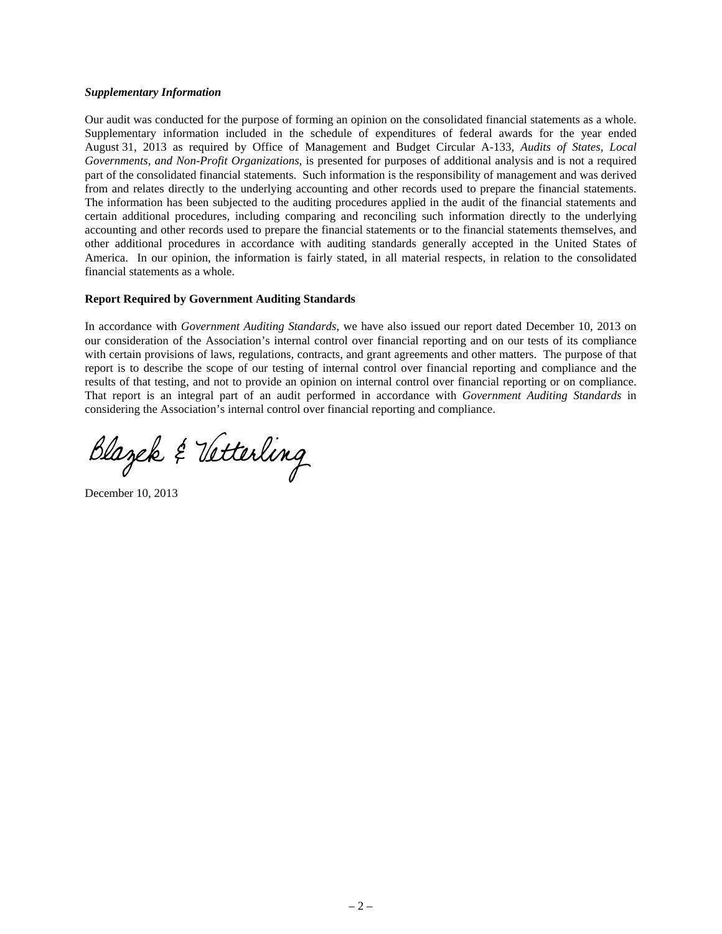#### *Supplementary Information*

Our audit was conducted for the purpose of forming an opinion on the consolidated financial statements as a whole. Supplementary information included in the schedule of expenditures of federal awards for the year ended August 31, 2013 as required by Office of Management and Budget Circular A-133*, Audits of States, Local Governments, and Non-Profit Organizations*, is presented for purposes of additional analysis and is not a required part of the consolidated financial statements. Such information is the responsibility of management and was derived from and relates directly to the underlying accounting and other records used to prepare the financial statements. The information has been subjected to the auditing procedures applied in the audit of the financial statements and certain additional procedures, including comparing and reconciling such information directly to the underlying accounting and other records used to prepare the financial statements or to the financial statements themselves, and other additional procedures in accordance with auditing standards generally accepted in the United States of America. In our opinion, the information is fairly stated, in all material respects, in relation to the consolidated financial statements as a whole.

### **Report Required by Government Auditing Standards**

In accordance with *Government Auditing Standards*, we have also issued our report dated December 10, 2013 on our consideration of the Association's internal control over financial reporting and on our tests of its compliance with certain provisions of laws, regulations, contracts, and grant agreements and other matters. The purpose of that report is to describe the scope of our testing of internal control over financial reporting and compliance and the results of that testing, and not to provide an opinion on internal control over financial reporting or on compliance. That report is an integral part of an audit performed in accordance with *Government Auditing Standards* in considering the Association's internal control over financial reporting and compliance.

Blazek & Vetterling

December 10, 2013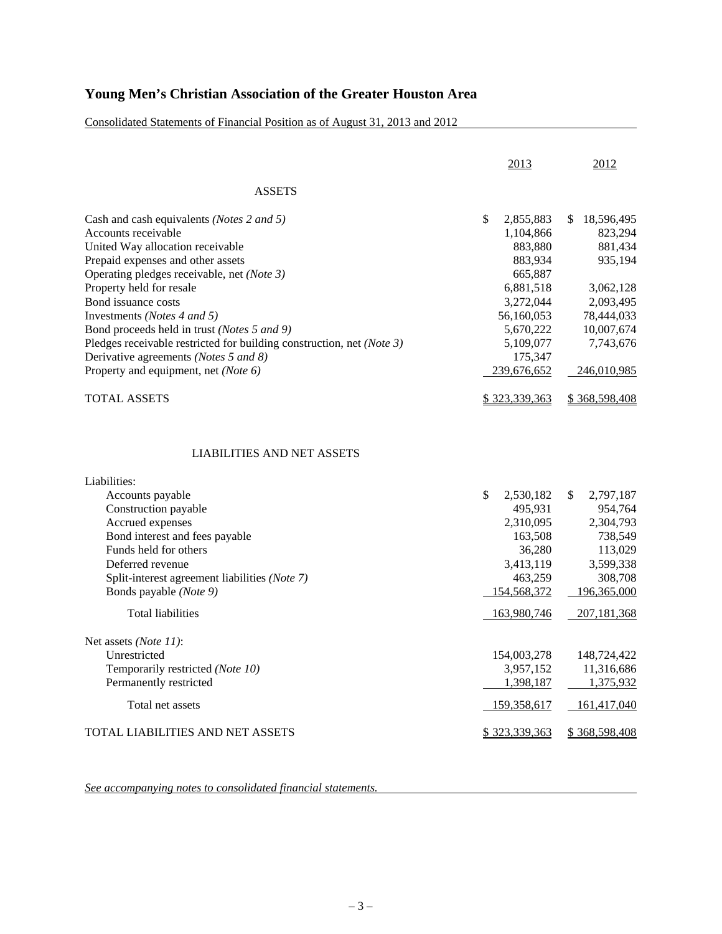Consolidated Statements of Financial Position as of August 31, 2013 and 2012

|                                                                       | 2013            | 2012             |
|-----------------------------------------------------------------------|-----------------|------------------|
| <b>ASSETS</b>                                                         |                 |                  |
| Cash and cash equivalents (Notes 2 and 5)                             | \$<br>2,855,883 | 18,596,495<br>\$ |
| Accounts receivable                                                   | 1,104,866       | 823,294          |
| United Way allocation receivable                                      | 883,880         | 881,434          |
| Prepaid expenses and other assets                                     | 883,934         | 935,194          |
| Operating pledges receivable, net (Note 3)                            | 665,887         |                  |
| Property held for resale                                              | 6,881,518       | 3,062,128        |
| Bond issuance costs                                                   | 3,272,044       | 2,093,495        |
| Investments (Notes 4 and 5)                                           | 56,160,053      | 78,444,033       |
| Bond proceeds held in trust (Notes 5 and 9)                           | 5,670,222       | 10,007,674       |
| Pledges receivable restricted for building construction, net (Note 3) | 5,109,077       | 7,743,676        |
| Derivative agreements (Notes 5 and 8)                                 | 175,347         |                  |
| Property and equipment, net (Note 6)                                  | 239,676,652     | 246,010,985      |
| <b>TOTAL ASSETS</b>                                                   | \$323,339,363   | \$368,598,408    |
| <b>LIABILITIES AND NET ASSETS</b>                                     |                 |                  |
| Liabilities:                                                          |                 |                  |
| Accounts payable                                                      | \$<br>2,530,182 | \$<br>2,797,187  |
| Construction payable                                                  | 495,931         | 954,764          |
| Accrued expenses                                                      | 2,310,095       | 2,304,793        |
| Bond interest and fees payable                                        | 163,508         | 738,549          |
| Funds held for others                                                 | 36,280          | 113,029          |
| Deferred revenue                                                      | 3,413,119       | 3,599,338        |
| Split-interest agreement liabilities (Note 7)                         | 463,259         | 308,708          |
| Bonds payable (Note 9)                                                | 154,568,372     | 196,365,000      |
| <b>Total liabilities</b>                                              | 163,980,746     | 207,181,368      |
| Net assets (Note 11):                                                 |                 |                  |
| Unrestricted                                                          | 154,003,278     | 148,724,422      |
| Temporarily restricted (Note 10)                                      | 3,957,152       | 11,316,686       |
| Permanently restricted                                                | 1,398,187       | 1,375,932        |
| Total net assets                                                      | 159,358,617     | 161,417,040      |
| TOTAL LIABILITIES AND NET ASSETS                                      | \$323,339,363   | \$368,598,408    |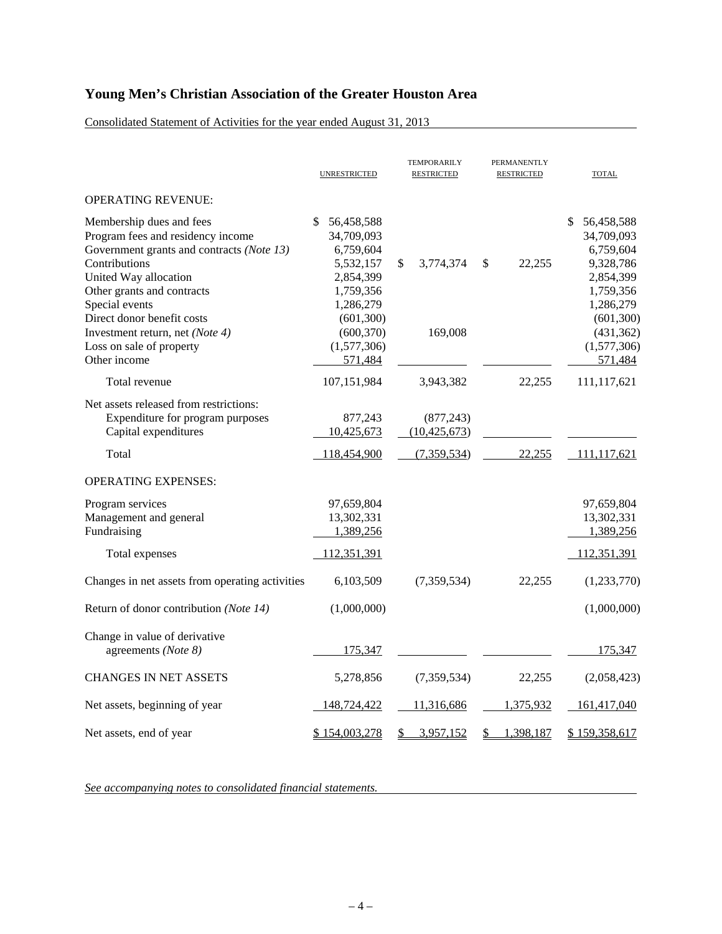Consolidated Statement of Activities for the year ended August 31, 2013

|                                                                                                                                                                                                      | UNRESTRICTED                                                                                   | <b>TEMPORARILY</b><br><b>RESTRICTED</b>     | <b>PERMANENTLY</b><br><b>RESTRICTED</b> | <b>TOTAL</b>                                                                                    |
|------------------------------------------------------------------------------------------------------------------------------------------------------------------------------------------------------|------------------------------------------------------------------------------------------------|---------------------------------------------|-----------------------------------------|-------------------------------------------------------------------------------------------------|
| <b>OPERATING REVENUE:</b>                                                                                                                                                                            |                                                                                                |                                             |                                         |                                                                                                 |
| Membership dues and fees<br>Program fees and residency income<br>Government grants and contracts (Note 13)<br>Contributions<br>United Way allocation<br>Other grants and contracts<br>Special events | 56,458,588<br>S<br>34,709,093<br>6,759,604<br>5,532,157<br>2,854,399<br>1,759,356<br>1,286,279 | \$<br>3,774,374                             | \$<br>22,255                            | 56,458,588<br>S.<br>34,709,093<br>6,759,604<br>9,328,786<br>2,854,399<br>1,759,356<br>1,286,279 |
| Direct donor benefit costs<br>Investment return, net (Note 4)<br>Loss on sale of property<br>Other income                                                                                            | (601, 300)<br>(600, 370)<br>(1,577,306)<br>571,484                                             | 169,008                                     |                                         | (601, 300)<br>(431, 362)<br>(1,577,306)<br>571,484                                              |
| Total revenue                                                                                                                                                                                        | 107,151,984                                                                                    | 3,943,382                                   | 22,255                                  | 111,117,621                                                                                     |
| Net assets released from restrictions:<br>Expenditure for program purposes<br>Capital expenditures<br>Total                                                                                          | 877,243<br>10,425,673<br>118,454,900                                                           | (877, 243)<br>(10, 425, 673)<br>(7,359,534) | 22,255                                  | 111,117,621                                                                                     |
| <b>OPERATING EXPENSES:</b>                                                                                                                                                                           |                                                                                                |                                             |                                         |                                                                                                 |
| Program services<br>Management and general<br>Fundraising<br>Total expenses                                                                                                                          | 97,659,804<br>13,302,331<br>1,389,256<br>112,351,391                                           |                                             |                                         | 97,659,804<br>13,302,331<br>1,389,256<br>112,351,391                                            |
| Changes in net assets from operating activities                                                                                                                                                      | 6,103,509                                                                                      | (7, 359, 534)                               | 22,255                                  | (1,233,770)                                                                                     |
| Return of donor contribution (Note 14)                                                                                                                                                               | (1,000,000)                                                                                    |                                             |                                         | (1,000,000)                                                                                     |
| Change in value of derivative<br>agreements (Note 8)                                                                                                                                                 | 175,347                                                                                        |                                             |                                         | 175,347                                                                                         |
| <b>CHANGES IN NET ASSETS</b>                                                                                                                                                                         | 5,278,856                                                                                      | (7, 359, 534)                               | 22,255                                  | (2,058,423)                                                                                     |
| Net assets, beginning of year                                                                                                                                                                        | 148,724,422                                                                                    | 11,316,686                                  | 1,375,932                               | 161,417,040                                                                                     |
| Net assets, end of year                                                                                                                                                                              | \$154,003,278                                                                                  | 3,957,152<br>S                              | 1,398,187<br>S                          | \$159,358,617                                                                                   |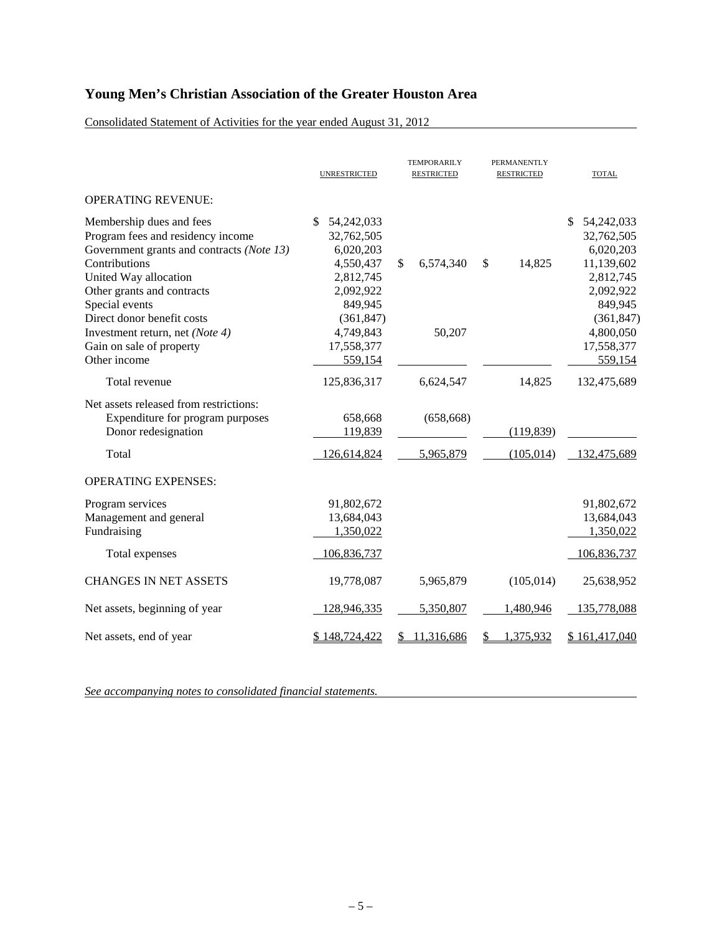Consolidated Statement of Activities for the year ended August 31, 2012

|                                                                                                                                                                                    | <b>UNRESTRICTED</b>                                                                          | <b>TEMPORARILY</b><br><b>RESTRICTED</b> | PERMANENTLY<br><b>RESTRICTED</b> | <b>TOTAL</b>                                                                        |
|------------------------------------------------------------------------------------------------------------------------------------------------------------------------------------|----------------------------------------------------------------------------------------------|-----------------------------------------|----------------------------------|-------------------------------------------------------------------------------------|
| <b>OPERATING REVENUE:</b>                                                                                                                                                          |                                                                                              |                                         |                                  |                                                                                     |
| Membership dues and fees<br>Program fees and residency income<br>Government grants and contracts (Note 13)<br>Contributions<br>United Way allocation<br>Other grants and contracts | $\mathbb{S}$<br>54,242,033<br>32,762,505<br>6,020,203<br>4,550,437<br>2,812,745<br>2,092,922 | \$<br>6,574,340                         | \$<br>14,825                     | 54,242,033<br>\$<br>32,762,505<br>6,020,203<br>11,139,602<br>2,812,745<br>2,092,922 |
| Special events<br>Direct donor benefit costs<br>Investment return, net (Note 4)<br>Gain on sale of property<br>Other income                                                        | 849,945<br>(361, 847)<br>4,749,843<br>17,558,377<br>559,154                                  | 50,207                                  |                                  | 849,945<br>(361, 847)<br>4,800,050<br>17,558,377<br>559,154                         |
| Total revenue                                                                                                                                                                      | 125,836,317                                                                                  | 6,624,547                               | 14,825                           | 132,475,689                                                                         |
| Net assets released from restrictions:<br>Expenditure for program purposes<br>Donor redesignation                                                                                  | 658,668<br>119,839                                                                           | (658, 668)                              | (119, 839)                       |                                                                                     |
| Total                                                                                                                                                                              | 126,614,824                                                                                  | 5,965,879                               | (105, 014)                       | 132,475,689                                                                         |
| <b>OPERATING EXPENSES:</b>                                                                                                                                                         |                                                                                              |                                         |                                  |                                                                                     |
| Program services<br>Management and general<br>Fundraising                                                                                                                          | 91,802,672<br>13,684,043<br>1,350,022                                                        |                                         |                                  | 91,802,672<br>13,684,043<br>1,350,022                                               |
| Total expenses                                                                                                                                                                     | 106,836,737                                                                                  |                                         |                                  | 106,836,737                                                                         |
| <b>CHANGES IN NET ASSETS</b>                                                                                                                                                       | 19,778,087                                                                                   | 5,965,879                               | (105, 014)                       | 25,638,952                                                                          |
| Net assets, beginning of year                                                                                                                                                      | 128,946,335                                                                                  | 5,350,807                               | 1,480,946                        | 135,778,088                                                                         |
| Net assets, end of year                                                                                                                                                            | \$148,724,422                                                                                | 11,316,686                              | 1,375,932<br>\$                  | \$161,417,040                                                                       |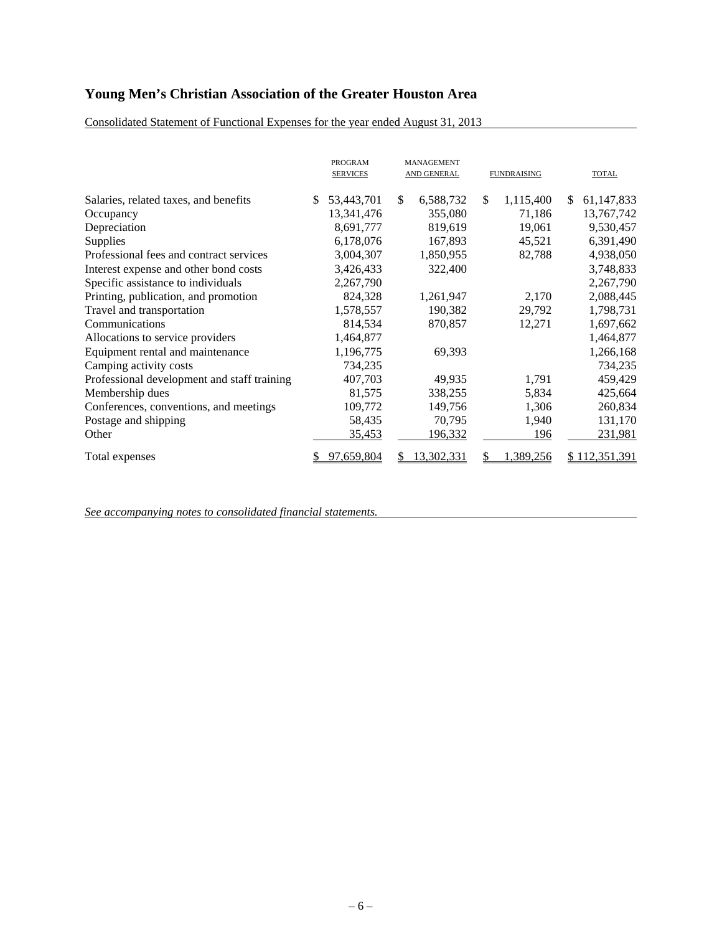|                                             | <b>PROGRAM</b>    | <b>MANAGEMENT</b> |                    |                      |
|---------------------------------------------|-------------------|-------------------|--------------------|----------------------|
|                                             | <b>SERVICES</b>   | AND GENERAL       | <b>FUNDRAISING</b> | <b>TOTAL</b>         |
| Salaries, related taxes, and benefits       | 53,443,701<br>\$. | \$<br>6,588,732   | \$<br>1,115,400    | 61, 147, 833<br>\$.  |
| Occupancy                                   | 13,341,476        | 355,080           | 71,186             | 13,767,742           |
| Depreciation                                | 8,691,777         | 819,619           | 19,061             | 9,530,457            |
| <b>Supplies</b>                             | 6,178,076         | 167,893           | 45,521             | 6,391,490            |
| Professional fees and contract services     | 3,004,307         | 1,850,955         | 82,788             | 4,938,050            |
| Interest expense and other bond costs       | 3,426,433         | 322,400           |                    | 3,748,833            |
| Specific assistance to individuals          | 2,267,790         |                   |                    | 2,267,790            |
| Printing, publication, and promotion        | 824,328           | 1,261,947         | 2,170              | 2,088,445            |
| Travel and transportation                   | 1,578,557         | 190,382           | 29,792             | 1,798,731            |
| Communications                              | 814,534           | 870,857           | 12,271             | 1,697,662            |
| Allocations to service providers            | 1,464,877         |                   |                    | 1,464,877            |
| Equipment rental and maintenance            | 1,196,775         | 69,393            |                    | 1,266,168            |
| Camping activity costs                      | 734,235           |                   |                    | 734,235              |
| Professional development and staff training | 407,703           | 49,935            | 1,791              | 459,429              |
| Membership dues                             | 81,575            | 338,255           | 5,834              | 425,664              |
| Conferences, conventions, and meetings      | 109,772           | 149,756           | 1,306              | 260,834              |
| Postage and shipping                        | 58,435            | 70,795            | 1,940              | 131,170              |
| Other                                       | 35,453            | 196,332           | 196                | 231,981              |
| Total expenses                              | 97,659,804        | 13,302,331<br>\$  | 1,389,256          | <u>\$112,351,391</u> |

Consolidated Statement of Functional Expenses for the year ended August 31, 2013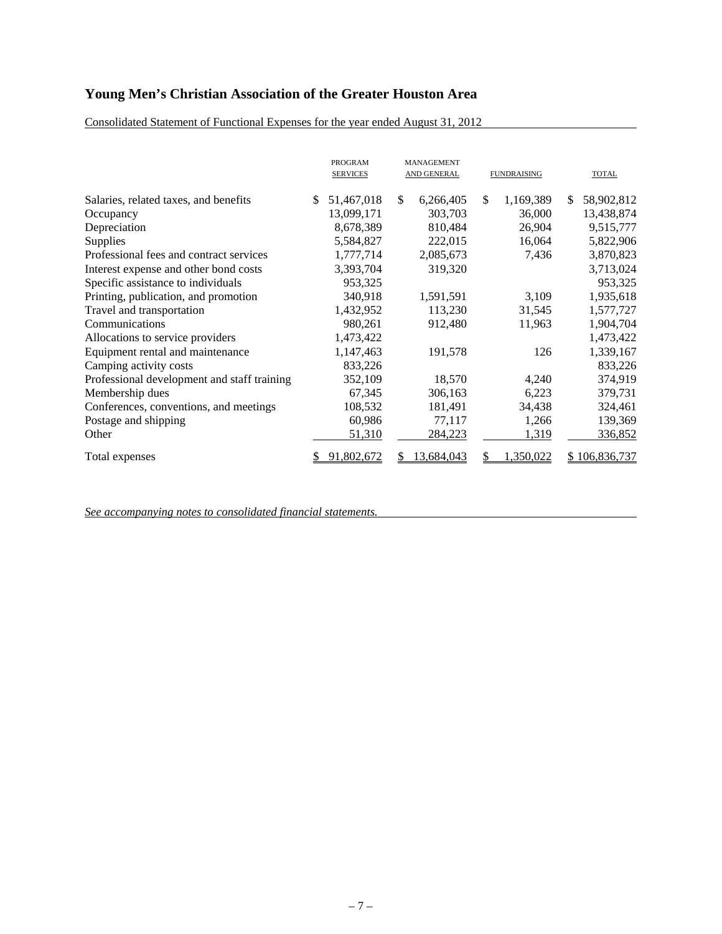|                                             |     | <b>PROGRAM</b>  |    | <b>MANAGEMENT</b> |                    |     |               |
|---------------------------------------------|-----|-----------------|----|-------------------|--------------------|-----|---------------|
|                                             |     | <b>SERVICES</b> |    | AND GENERAL       | <b>FUNDRAISING</b> |     | <b>TOTAL</b>  |
| Salaries, related taxes, and benefits       | \$. | 51,467,018      | \$ | 6,266,405         | \$<br>1,169,389    | \$. | 58,902,812    |
| Occupancy                                   |     | 13,099,171      |    | 303,703           | 36,000             |     | 13,438,874    |
| Depreciation                                |     | 8,678,389       |    | 810,484           | 26,904             |     | 9,515,777     |
| Supplies                                    |     | 5,584,827       |    | 222,015           | 16,064             |     | 5,822,906     |
| Professional fees and contract services     |     | 1,777,714       |    | 2,085,673         | 7,436              |     | 3,870,823     |
| Interest expense and other bond costs       |     | 3,393,704       |    | 319,320           |                    |     | 3,713,024     |
| Specific assistance to individuals          |     | 953,325         |    |                   |                    |     | 953,325       |
| Printing, publication, and promotion        |     | 340,918         |    | 1,591,591         | 3,109              |     | 1,935,618     |
| Travel and transportation                   |     | 1,432,952       |    | 113,230           | 31,545             |     | 1,577,727     |
| Communications                              |     | 980,261         |    | 912,480           | 11,963             |     | 1,904,704     |
| Allocations to service providers            |     | 1,473,422       |    |                   |                    |     | 1,473,422     |
| Equipment rental and maintenance            |     | 1,147,463       |    | 191,578           | 126                |     | 1,339,167     |
| Camping activity costs                      |     | 833,226         |    |                   |                    |     | 833,226       |
| Professional development and staff training |     | 352,109         |    | 18,570            | 4,240              |     | 374,919       |
| Membership dues                             |     | 67,345          |    | 306,163           | 6,223              |     | 379,731       |
| Conferences, conventions, and meetings      |     | 108,532         |    | 181,491           | 34,438             |     | 324,461       |
| Postage and shipping                        |     | 60,986          |    | 77,117            | 1,266              |     | 139,369       |
| Other                                       |     | 51,310          |    | 284,223           | 1,319              |     | 336,852       |
| Total expenses                              |     | 91,802,672      | S  | 13,684,043        | \$<br>1,350,022    |     | \$106,836,737 |

Consolidated Statement of Functional Expenses for the year ended August 31, 2012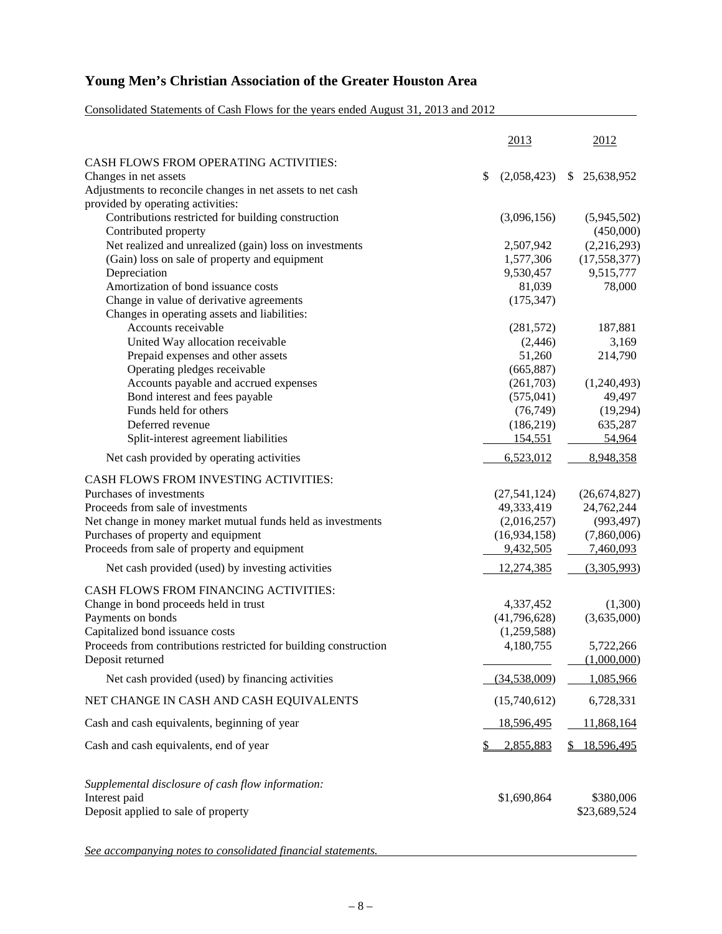## Consolidated Statements of Cash Flows for the years ended August 31, 2013 and 2012

|                                                                  | 2013              | 2012                        |
|------------------------------------------------------------------|-------------------|-----------------------------|
| <b>CASH FLOWS FROM OPERATING ACTIVITIES:</b>                     |                   |                             |
| Changes in net assets                                            | \$<br>(2,058,423) | 25,638,952<br><sup>\$</sup> |
| Adjustments to reconcile changes in net assets to net cash       |                   |                             |
| provided by operating activities:                                |                   |                             |
| Contributions restricted for building construction               | (3,096,156)       | (5,945,502)                 |
| Contributed property                                             |                   | (450,000)                   |
| Net realized and unrealized (gain) loss on investments           | 2,507,942         | (2,216,293)                 |
| (Gain) loss on sale of property and equipment                    | 1,577,306         | (17, 558, 377)              |
| Depreciation                                                     | 9,530,457         | 9,515,777                   |
| Amortization of bond issuance costs                              | 81,039            | 78,000                      |
| Change in value of derivative agreements                         | (175, 347)        |                             |
| Changes in operating assets and liabilities:                     |                   |                             |
| Accounts receivable                                              | (281, 572)        | 187,881                     |
| United Way allocation receivable                                 | (2, 446)          | 3,169                       |
| Prepaid expenses and other assets                                | 51,260            | 214,790                     |
| Operating pledges receivable                                     | (665, 887)        |                             |
| Accounts payable and accrued expenses                            | (261,703)         | (1,240,493)                 |
| Bond interest and fees payable                                   | (575, 041)        | 49,497                      |
| Funds held for others                                            | (76, 749)         | (19,294)                    |
| Deferred revenue                                                 | (186, 219)        | 635,287                     |
| Split-interest agreement liabilities                             | 154,551           | 54,964                      |
| Net cash provided by operating activities                        | 6,523,012         | 8,948,358                   |
| CASH FLOWS FROM INVESTING ACTIVITIES:                            |                   |                             |
| Purchases of investments                                         | (27, 541, 124)    | (26, 674, 827)              |
| Proceeds from sale of investments                                | 49,333,419        | 24,762,244                  |
| Net change in money market mutual funds held as investments      | (2,016,257)       | (993, 497)                  |
| Purchases of property and equipment                              | (16, 934, 158)    | (7,860,006)                 |
| Proceeds from sale of property and equipment                     | 9,432,505         | 7,460,093                   |
| Net cash provided (used) by investing activities                 | 12,274,385        | (3,305,993)                 |
| <b>CASH FLOWS FROM FINANCING ACTIVITIES:</b>                     |                   |                             |
| Change in bond proceeds held in trust                            | 4,337,452         | (1,300)                     |
| Payments on bonds                                                | (41,796,628)      | (3,635,000)                 |
| Capitalized bond issuance costs                                  | (1,259,588)       |                             |
| Proceeds from contributions restricted for building construction | 4,180,755         | 5,722,266                   |
| Deposit returned                                                 |                   | (1,000,000)                 |
| Net cash provided (used) by financing activities                 | (34,538,009)      | 1,085,966                   |
| NET CHANGE IN CASH AND CASH EQUIVALENTS                          | (15,740,612)      | 6,728,331                   |
| Cash and cash equivalents, beginning of year                     | <u>18,596,495</u> | 11,868,164                  |
| Cash and cash equivalents, end of year                           | 2,855,883         | 18,596,495                  |
|                                                                  |                   |                             |
| Supplemental disclosure of cash flow information:                |                   |                             |
| Interest paid                                                    | \$1,690,864       | \$380,006                   |
| Deposit applied to sale of property                              |                   | \$23,689,524                |
|                                                                  |                   |                             |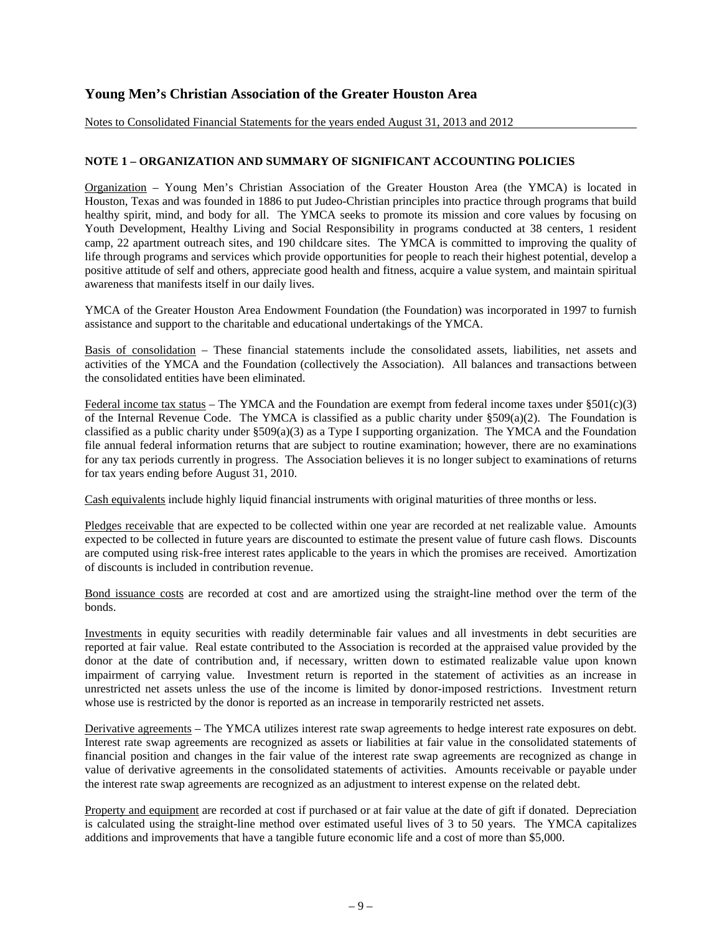Notes to Consolidated Financial Statements for the years ended August 31, 2013 and 2012

## **NOTE 1 – ORGANIZATION AND SUMMARY OF SIGNIFICANT ACCOUNTING POLICIES**

Organization – Young Men's Christian Association of the Greater Houston Area (the YMCA) is located in Houston, Texas and was founded in 1886 to put Judeo-Christian principles into practice through programs that build healthy spirit, mind, and body for all. The YMCA seeks to promote its mission and core values by focusing on Youth Development, Healthy Living and Social Responsibility in programs conducted at 38 centers, 1 resident camp, 22 apartment outreach sites, and 190 childcare sites. The YMCA is committed to improving the quality of life through programs and services which provide opportunities for people to reach their highest potential, develop a positive attitude of self and others, appreciate good health and fitness, acquire a value system, and maintain spiritual awareness that manifests itself in our daily lives.

YMCA of the Greater Houston Area Endowment Foundation (the Foundation) was incorporated in 1997 to furnish assistance and support to the charitable and educational undertakings of the YMCA.

Basis of consolidation – These financial statements include the consolidated assets, liabilities, net assets and activities of the YMCA and the Foundation (collectively the Association). All balances and transactions between the consolidated entities have been eliminated.

Federal income tax status – The YMCA and the Foundation are exempt from federal income taxes under  $\S501(c)(3)$ of the Internal Revenue Code. The YMCA is classified as a public charity under §509(a)(2). The Foundation is classified as a public charity under  $\S509(a)(3)$  as a Type I supporting organization. The YMCA and the Foundation file annual federal information returns that are subject to routine examination; however, there are no examinations for any tax periods currently in progress. The Association believes it is no longer subject to examinations of returns for tax years ending before August 31, 2010.

Cash equivalents include highly liquid financial instruments with original maturities of three months or less.

Pledges receivable that are expected to be collected within one year are recorded at net realizable value. Amounts expected to be collected in future years are discounted to estimate the present value of future cash flows. Discounts are computed using risk-free interest rates applicable to the years in which the promises are received. Amortization of discounts is included in contribution revenue.

Bond issuance costs are recorded at cost and are amortized using the straight-line method over the term of the bonds.

Investments in equity securities with readily determinable fair values and all investments in debt securities are reported at fair value. Real estate contributed to the Association is recorded at the appraised value provided by the donor at the date of contribution and, if necessary, written down to estimated realizable value upon known impairment of carrying value. Investment return is reported in the statement of activities as an increase in unrestricted net assets unless the use of the income is limited by donor-imposed restrictions. Investment return whose use is restricted by the donor is reported as an increase in temporarily restricted net assets.

Derivative agreements – The YMCA utilizes interest rate swap agreements to hedge interest rate exposures on debt. Interest rate swap agreements are recognized as assets or liabilities at fair value in the consolidated statements of financial position and changes in the fair value of the interest rate swap agreements are recognized as change in value of derivative agreements in the consolidated statements of activities. Amounts receivable or payable under the interest rate swap agreements are recognized as an adjustment to interest expense on the related debt.

Property and equipment are recorded at cost if purchased or at fair value at the date of gift if donated. Depreciation is calculated using the straight-line method over estimated useful lives of 3 to 50 years. The YMCA capitalizes additions and improvements that have a tangible future economic life and a cost of more than \$5,000.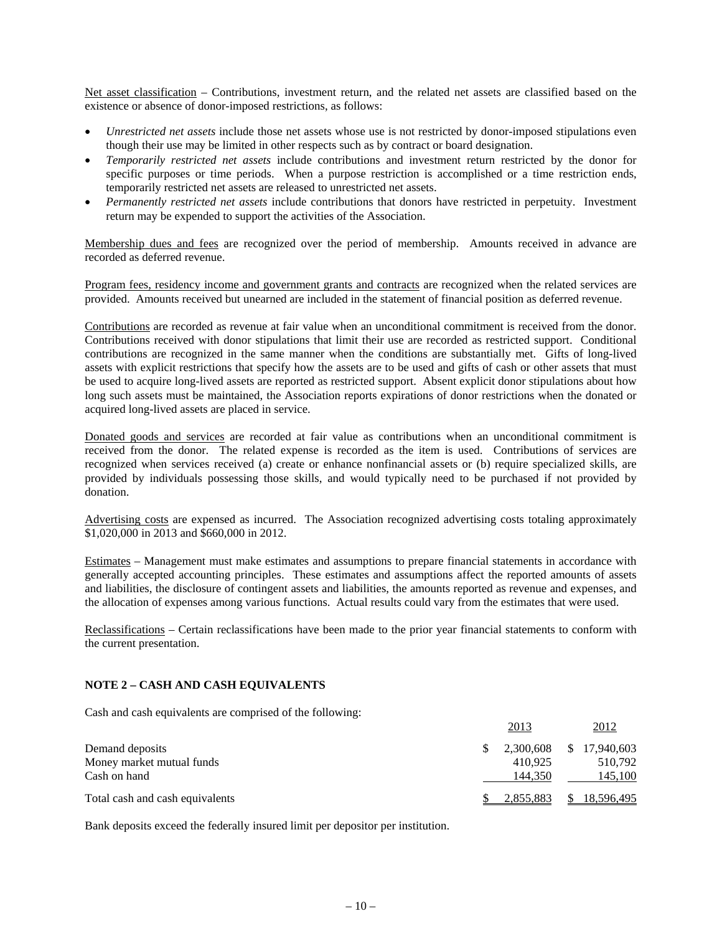Net asset classification – Contributions, investment return, and the related net assets are classified based on the existence or absence of donor-imposed restrictions, as follows:

- *Unrestricted net assets* include those net assets whose use is not restricted by donor-imposed stipulations even though their use may be limited in other respects such as by contract or board designation.
- *Temporarily restricted net assets* include contributions and investment return restricted by the donor for specific purposes or time periods. When a purpose restriction is accomplished or a time restriction ends, temporarily restricted net assets are released to unrestricted net assets.
- *Permanently restricted net assets* include contributions that donors have restricted in perpetuity. Investment return may be expended to support the activities of the Association.

Membership dues and fees are recognized over the period of membership. Amounts received in advance are recorded as deferred revenue.

Program fees, residency income and government grants and contracts are recognized when the related services are provided. Amounts received but unearned are included in the statement of financial position as deferred revenue.

Contributions are recorded as revenue at fair value when an unconditional commitment is received from the donor. Contributions received with donor stipulations that limit their use are recorded as restricted support. Conditional contributions are recognized in the same manner when the conditions are substantially met. Gifts of long-lived assets with explicit restrictions that specify how the assets are to be used and gifts of cash or other assets that must be used to acquire long-lived assets are reported as restricted support. Absent explicit donor stipulations about how long such assets must be maintained, the Association reports expirations of donor restrictions when the donated or acquired long-lived assets are placed in service.

Donated goods and services are recorded at fair value as contributions when an unconditional commitment is received from the donor. The related expense is recorded as the item is used. Contributions of services are recognized when services received (a) create or enhance nonfinancial assets or (b) require specialized skills, are provided by individuals possessing those skills, and would typically need to be purchased if not provided by donation.

Advertising costs are expensed as incurred. The Association recognized advertising costs totaling approximately \$1,020,000 in 2013 and \$660,000 in 2012.

Estimates – Management must make estimates and assumptions to prepare financial statements in accordance with generally accepted accounting principles. These estimates and assumptions affect the reported amounts of assets and liabilities, the disclosure of contingent assets and liabilities, the amounts reported as revenue and expenses, and the allocation of expenses among various functions. Actual results could vary from the estimates that were used.

Reclassifications – Certain reclassifications have been made to the prior year financial statements to conform with the current presentation.

## **NOTE 2 – CASH AND CASH EQUIVALENTS**

Cash and cash equivalents are comprised of the following:

|                                 | 2013      | 2012                    |
|---------------------------------|-----------|-------------------------|
| Demand deposits                 |           | 2,300,608 \$ 17,940,603 |
| Money market mutual funds       | 410.925   | 510,792                 |
| Cash on hand                    | 144.350   | 145,100                 |
| Total cash and cash equivalents | 2.855.883 | 18.596.495              |

Bank deposits exceed the federally insured limit per depositor per institution.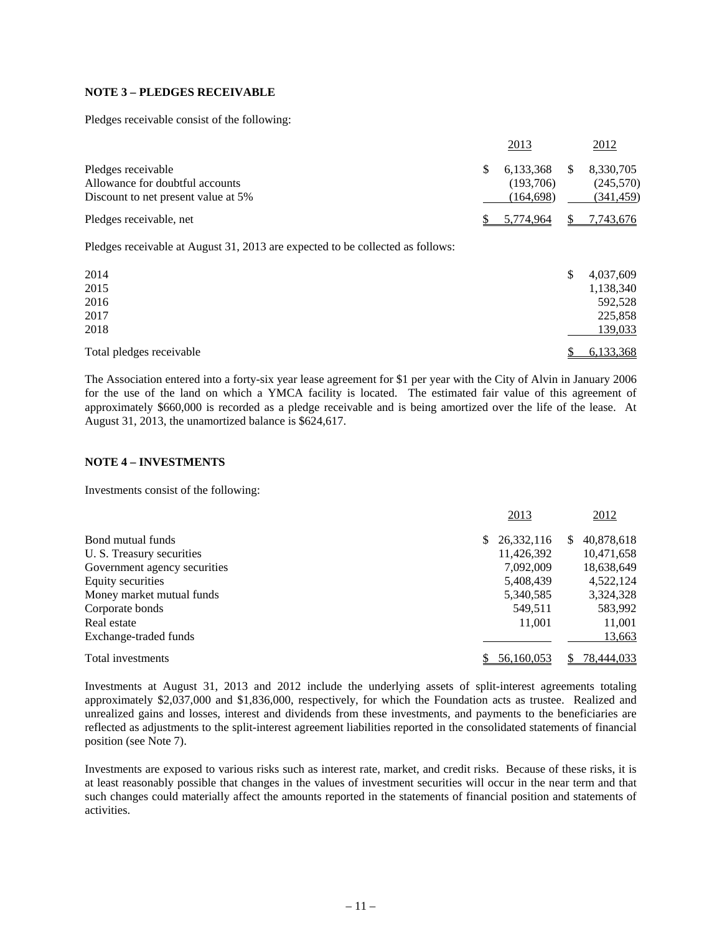### **NOTE 3 – PLEDGES RECEIVABLE**

Pledges receivable consist of the following:

|                                                                                              | 2013                                       |     | 2012                                                    |
|----------------------------------------------------------------------------------------------|--------------------------------------------|-----|---------------------------------------------------------|
| Pledges receivable<br>Allowance for doubtful accounts<br>Discount to net present value at 5% | \$<br>6,133,368<br>(193,706)<br>(164, 698) | \$. | 8,330,705<br>(245,570)<br>(341, 459)                    |
| Pledges receivable, net                                                                      | 5.774.964                                  |     | 7,743,676                                               |
| Pledges receivable at August 31, 2013 are expected to be collected as follows:               |                                            |     |                                                         |
| 2014<br>2015<br>2016<br>2017<br>2018                                                         |                                            | \$  | 4,037,609<br>1,138,340<br>592,528<br>225,858<br>139,033 |
| Total pledges receivable                                                                     |                                            |     | 6,133,368                                               |

The Association entered into a forty-six year lease agreement for \$1 per year with the City of Alvin in January 2006 for the use of the land on which a YMCA facility is located. The estimated fair value of this agreement of approximately \$660,000 is recorded as a pledge receivable and is being amortized over the life of the lease. At August 31, 2013, the unamortized balance is \$624,617.

## **NOTE 4 – INVESTMENTS**

Investments consist of the following:

|                              | 2013             | 2012            |
|------------------------------|------------------|-----------------|
| Bond mutual funds            | 26,332,116<br>S. | 40,878,618<br>S |
| U. S. Treasury securities    | 11,426,392       | 10,471,658      |
| Government agency securities | 7,092,009        | 18,638,649      |
| Equity securities            | 5,408,439        | 4,522,124       |
| Money market mutual funds    | 5,340,585        | 3,324,328       |
| Corporate bonds              | 549,511          | 583,992         |
| Real estate                  | 11,001           | 11,001          |
| Exchange-traded funds        |                  | 13,663          |
| Total investments            | 56.160.053       | 78,444,033      |

Investments at August 31, 2013 and 2012 include the underlying assets of split-interest agreements totaling approximately \$2,037,000 and \$1,836,000, respectively, for which the Foundation acts as trustee. Realized and unrealized gains and losses, interest and dividends from these investments, and payments to the beneficiaries are reflected as adjustments to the split-interest agreement liabilities reported in the consolidated statements of financial position (see Note 7).

Investments are exposed to various risks such as interest rate, market, and credit risks. Because of these risks, it is at least reasonably possible that changes in the values of investment securities will occur in the near term and that such changes could materially affect the amounts reported in the statements of financial position and statements of activities.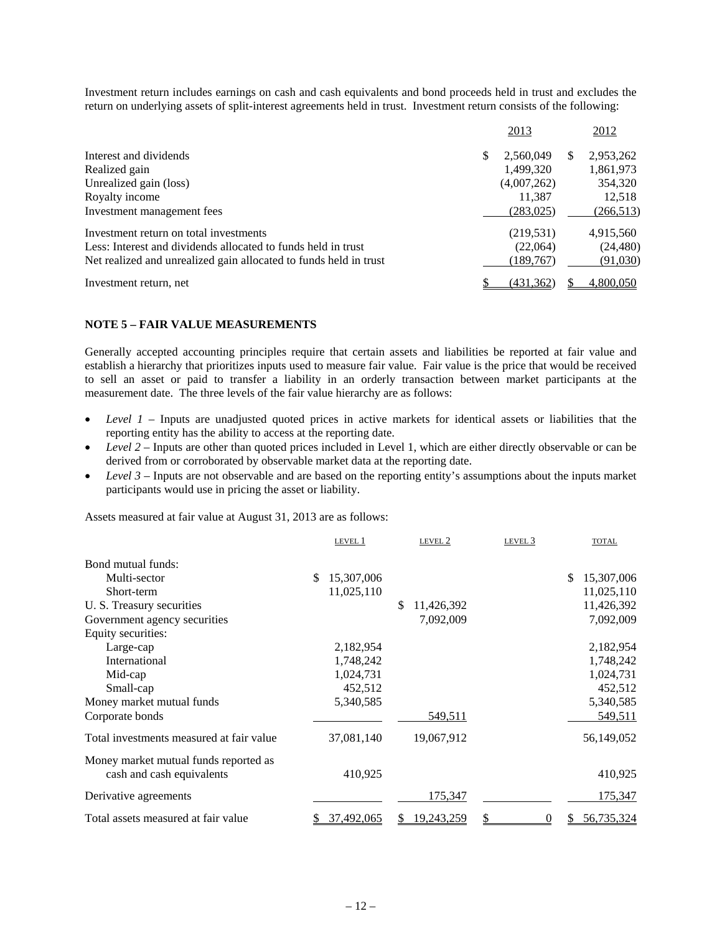Investment return includes earnings on cash and cash equivalents and bond proceeds held in trust and excludes the return on underlying assets of split-interest agreements held in trust. Investment return consists of the following:

|                                                                   | 2013            |   | 2012       |
|-------------------------------------------------------------------|-----------------|---|------------|
| Interest and dividends                                            | \$<br>2,560,049 | S | 2,953,262  |
| Realized gain                                                     | 1.499.320       |   | 1,861,973  |
| Unrealized gain (loss)                                            | (4,007,262)     |   | 354,320    |
| Royalty income                                                    | 11.387          |   | 12,518     |
| Investment management fees                                        | (283, 025)      |   | (266, 513) |
| Investment return on total investments                            | (219, 531)      |   | 4,915,560  |
| Less: Interest and dividends allocated to funds held in trust     | (22,064)        |   | (24, 480)  |
| Net realized and unrealized gain allocated to funds held in trust | (189,767)       |   | (91,030)   |
| Investment return, net                                            | (431,362)       |   | 4.800.050  |

### **NOTE 5 – FAIR VALUE MEASUREMENTS**

Generally accepted accounting principles require that certain assets and liabilities be reported at fair value and establish a hierarchy that prioritizes inputs used to measure fair value. Fair value is the price that would be received to sell an asset or paid to transfer a liability in an orderly transaction between market participants at the measurement date. The three levels of the fair value hierarchy are as follows:

- *Level 1* Inputs are unadjusted quoted prices in active markets for identical assets or liabilities that the reporting entity has the ability to access at the reporting date.
- *Level 2* Inputs are other than quoted prices included in Level 1, which are either directly observable or can be derived from or corroborated by observable market data at the reporting date.
- *Level 3* Inputs are not observable and are based on the reporting entity's assumptions about the inputs market participants would use in pricing the asset or liability.

Assets measured at fair value at August 31, 2013 are as follows:

|                                                                    |     | LEVEL 1    | LEVEL 2          | LEVEL <sub>3</sub> |              | <b>TOTAL</b>   |
|--------------------------------------------------------------------|-----|------------|------------------|--------------------|--------------|----------------|
| Bond mutual funds:                                                 |     |            |                  |                    |              |                |
| Multi-sector                                                       | \$. | 15,307,006 |                  |                    | $\mathbb{S}$ | 15,307,006     |
| Short-term                                                         |     | 11,025,110 |                  |                    |              | 11,025,110     |
| U. S. Treasury securities                                          |     |            | \$<br>11,426,392 |                    |              | 11,426,392     |
| Government agency securities                                       |     |            | 7,092,009        |                    |              | 7,092,009      |
| Equity securities:                                                 |     |            |                  |                    |              |                |
| Large-cap                                                          |     | 2,182,954  |                  |                    |              | 2,182,954      |
| International                                                      |     | 1,748,242  |                  |                    |              | 1,748,242      |
| Mid-cap                                                            |     | 1,024,731  |                  |                    |              | 1,024,731      |
| Small-cap                                                          |     | 452,512    |                  |                    |              | 452,512        |
| Money market mutual funds                                          |     | 5,340,585  |                  |                    |              | 5,340,585      |
| Corporate bonds                                                    |     |            | 549,511          |                    |              | <u>549,511</u> |
| Total investments measured at fair value                           |     | 37,081,140 | 19,067,912       |                    |              | 56,149,052     |
| Money market mutual funds reported as<br>cash and cash equivalents |     | 410,925    |                  |                    |              | 410,925        |
| Derivative agreements                                              |     |            | 175,347          |                    |              | 175,347        |
| Total assets measured at fair value                                |     | 37,492,065 | 19,243,259       | 0                  | S            | 56,735,324     |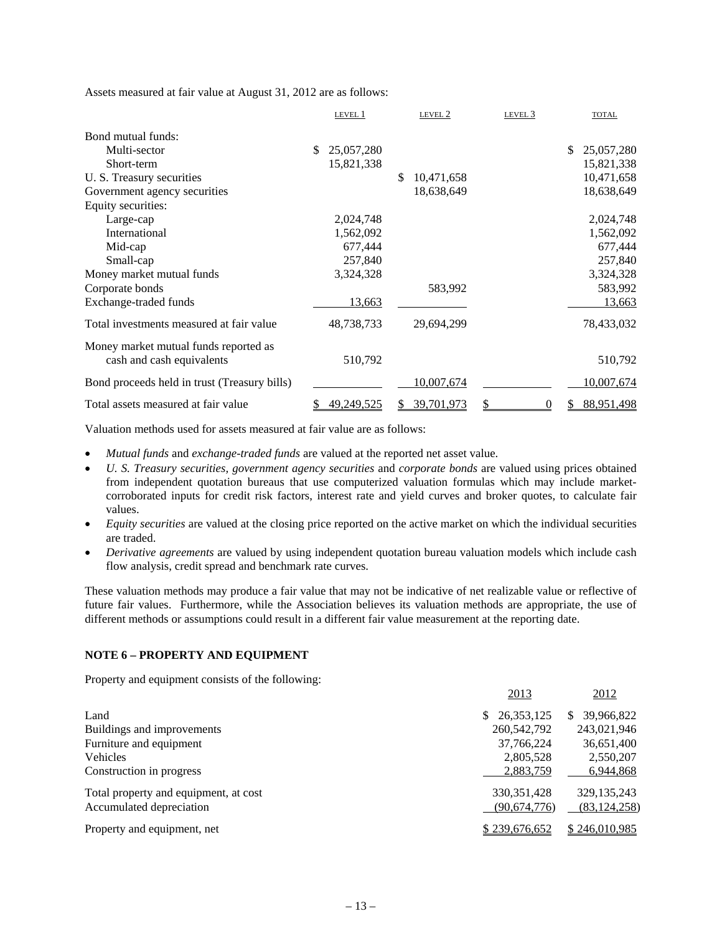Assets measured at fair value at August 31, 2012 are as follows:

|                                              |     | LEVEL 1    |   | LEVEL 2    | LEVEL <sub>3</sub> | <b>TOTAL</b>                |  |
|----------------------------------------------|-----|------------|---|------------|--------------------|-----------------------------|--|
| Bond mutual funds:                           |     |            |   |            |                    |                             |  |
| Multi-sector                                 | \$. | 25,057,280 |   |            |                    | <sup>\$</sup><br>25,057,280 |  |
| Short-term                                   |     | 15,821,338 |   |            |                    | 15,821,338                  |  |
| U. S. Treasury securities                    |     |            | S | 10,471,658 |                    | 10,471,658                  |  |
| Government agency securities                 |     |            |   | 18,638,649 |                    | 18,638,649                  |  |
| Equity securities:                           |     |            |   |            |                    |                             |  |
| Large-cap                                    |     | 2,024,748  |   |            |                    | 2,024,748                   |  |
| International                                |     | 1,562,092  |   |            |                    | 1,562,092                   |  |
| Mid-cap                                      |     | 677,444    |   |            |                    | 677,444                     |  |
| Small-cap                                    |     | 257,840    |   |            |                    | 257,840                     |  |
| Money market mutual funds                    |     | 3,324,328  |   |            |                    | 3,324,328                   |  |
| Corporate bonds                              |     |            |   | 583,992    |                    | 583,992                     |  |
| Exchange-traded funds                        |     | 13,663     |   |            |                    | 13,663                      |  |
| Total investments measured at fair value     |     | 48,738,733 |   | 29,694,299 |                    | 78,433,032                  |  |
| Money market mutual funds reported as        |     |            |   |            |                    |                             |  |
| cash and cash equivalents                    |     | 510,792    |   |            |                    | 510,792                     |  |
| Bond proceeds held in trust (Treasury bills) |     |            |   | 10,007,674 |                    | 10,007,674                  |  |
| Total assets measured at fair value          |     | 49,249,525 |   | 39,701,973 |                    | 88,951,498                  |  |

Valuation methods used for assets measured at fair value are as follows:

- *Mutual funds* and *exchange-traded funds* are valued at the reported net asset value.
- *U. S. Treasury securities, government agency securities* and *corporate bonds* are valued using prices obtained from independent quotation bureaus that use computerized valuation formulas which may include marketcorroborated inputs for credit risk factors, interest rate and yield curves and broker quotes, to calculate fair values.
- *Equity securities* are valued at the closing price reported on the active market on which the individual securities are traded.
- *Derivative agreements* are valued by using independent quotation bureau valuation models which include cash flow analysis, credit spread and benchmark rate curves.

These valuation methods may produce a fair value that may not be indicative of net realizable value or reflective of future fair values. Furthermore, while the Association believes its valuation methods are appropriate, the use of different methods or assumptions could result in a different fair value measurement at the reporting date.

## **NOTE 6 – PROPERTY AND EQUIPMENT**

Property and equipment consists of the following:

|                                       | 2013          | 2012             |
|---------------------------------------|---------------|------------------|
| Land                                  | \$26,353,125  | 39,966,822<br>S. |
| Buildings and improvements            | 260, 542, 792 | 243,021,946      |
| Furniture and equipment               | 37,766,224    | 36,651,400       |
| Vehicles                              | 2,805,528     | 2,550,207        |
| Construction in progress              | 2,883,759     | 6,944,868        |
| Total property and equipment, at cost | 330, 351, 428 | 329, 135, 243    |
| Accumulated depreciation              | (90,674,776)  | (83, 124, 258)   |
| Property and equipment, net           | \$239,676,652 | \$246,010,985    |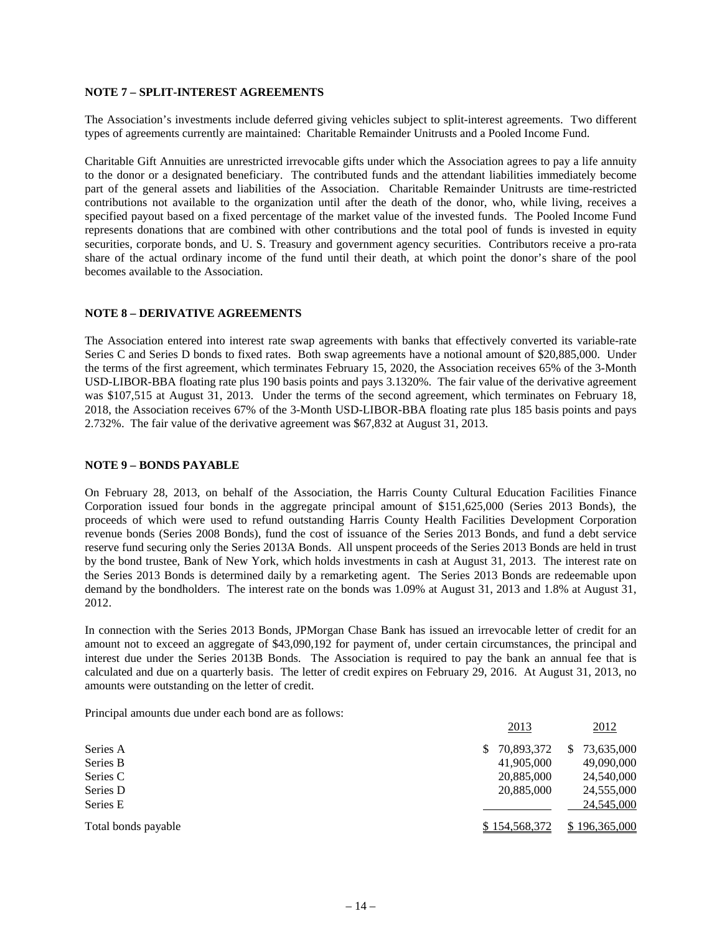#### **NOTE 7 – SPLIT-INTEREST AGREEMENTS**

The Association's investments include deferred giving vehicles subject to split-interest agreements. Two different types of agreements currently are maintained: Charitable Remainder Unitrusts and a Pooled Income Fund.

Charitable Gift Annuities are unrestricted irrevocable gifts under which the Association agrees to pay a life annuity to the donor or a designated beneficiary. The contributed funds and the attendant liabilities immediately become part of the general assets and liabilities of the Association. Charitable Remainder Unitrusts are time-restricted contributions not available to the organization until after the death of the donor, who, while living, receives a specified payout based on a fixed percentage of the market value of the invested funds. The Pooled Income Fund represents donations that are combined with other contributions and the total pool of funds is invested in equity securities, corporate bonds, and U. S. Treasury and government agency securities. Contributors receive a pro-rata share of the actual ordinary income of the fund until their death, at which point the donor's share of the pool becomes available to the Association.

#### **NOTE 8 – DERIVATIVE AGREEMENTS**

The Association entered into interest rate swap agreements with banks that effectively converted its variable-rate Series C and Series D bonds to fixed rates. Both swap agreements have a notional amount of \$20,885,000. Under the terms of the first agreement, which terminates February 15, 2020, the Association receives 65% of the 3-Month USD-LIBOR-BBA floating rate plus 190 basis points and pays 3.1320%. The fair value of the derivative agreement was \$107,515 at August 31, 2013. Under the terms of the second agreement, which terminates on February 18, 2018, the Association receives 67% of the 3-Month USD-LIBOR-BBA floating rate plus 185 basis points and pays 2.732%. The fair value of the derivative agreement was \$67,832 at August 31, 2013.

#### **NOTE 9 – BONDS PAYABLE**

On February 28, 2013, on behalf of the Association, the Harris County Cultural Education Facilities Finance Corporation issued four bonds in the aggregate principal amount of \$151,625,000 (Series 2013 Bonds), the proceeds of which were used to refund outstanding Harris County Health Facilities Development Corporation revenue bonds (Series 2008 Bonds), fund the cost of issuance of the Series 2013 Bonds, and fund a debt service reserve fund securing only the Series 2013A Bonds. All unspent proceeds of the Series 2013 Bonds are held in trust by the bond trustee, Bank of New York, which holds investments in cash at August 31, 2013. The interest rate on the Series 2013 Bonds is determined daily by a remarketing agent. The Series 2013 Bonds are redeemable upon demand by the bondholders. The interest rate on the bonds was 1.09% at August 31, 2013 and 1.8% at August 31, 2012.

In connection with the Series 2013 Bonds, JPMorgan Chase Bank has issued an irrevocable letter of credit for an amount not to exceed an aggregate of \$43,090,192 for payment of, under certain circumstances, the principal and interest due under the Series 2013B Bonds. The Association is required to pay the bank an annual fee that is calculated and due on a quarterly basis. The letter of credit expires on February 29, 2016. At August 31, 2013, no amounts were outstanding on the letter of credit.

Principal amounts due under each bond are as follows:

|                     | 2013             | 2012            |
|---------------------|------------------|-----------------|
| Series A            | 70,893,372<br>S. | 73,635,000<br>S |
| Series B            | 41,905,000       | 49,090,000      |
| Series C            | 20,885,000       | 24,540,000      |
| Series D            | 20,885,000       | 24,555,000      |
| Series E            |                  | 24,545,000      |
| Total bonds payable | \$154,568,372    | \$196,365,000   |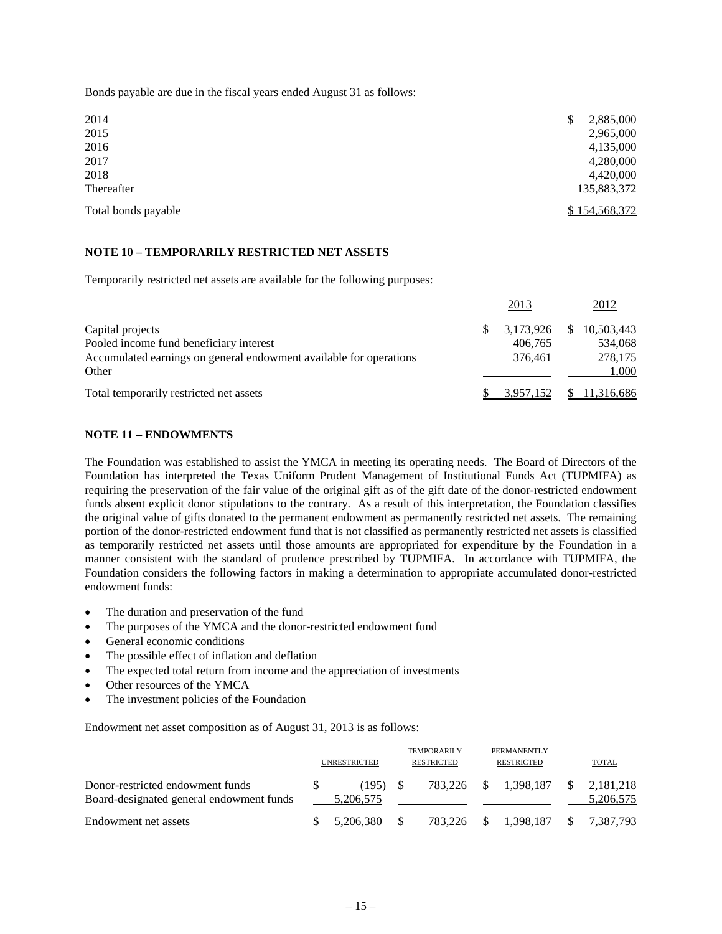Bonds payable are due in the fiscal years ended August 31 as follows:

## **NOTE 10 – TEMPORARILY RESTRICTED NET ASSETS**

Temporarily restricted net assets are available for the following purposes:

|                                                                    | 2013      |     | 2012       |
|--------------------------------------------------------------------|-----------|-----|------------|
| Capital projects                                                   | 3,173,926 | \$. | 10,503,443 |
| Pooled income fund beneficiary interest                            | 406,765   |     | 534,068    |
| Accumulated earnings on general endowment available for operations | 376,461   |     | 278,175    |
| Other                                                              |           |     | 1.000      |
| Total temporarily restricted net assets                            | 3.957.152 |     | 11,316,686 |

## **NOTE 11 – ENDOWMENTS**

The Foundation was established to assist the YMCA in meeting its operating needs. The Board of Directors of the Foundation has interpreted the Texas Uniform Prudent Management of Institutional Funds Act (TUPMIFA) as requiring the preservation of the fair value of the original gift as of the gift date of the donor-restricted endowment funds absent explicit donor stipulations to the contrary. As a result of this interpretation, the Foundation classifies the original value of gifts donated to the permanent endowment as permanently restricted net assets. The remaining portion of the donor-restricted endowment fund that is not classified as permanently restricted net assets is classified as temporarily restricted net assets until those amounts are appropriated for expenditure by the Foundation in a manner consistent with the standard of prudence prescribed by TUPMIFA. In accordance with TUPMIFA, the Foundation considers the following factors in making a determination to appropriate accumulated donor-restricted endowment funds:

- The duration and preservation of the fund
- The purposes of the YMCA and the donor-restricted endowment fund
- General economic conditions
- The possible effect of inflation and deflation
- The expected total return from income and the appreciation of investments
- Other resources of the YMCA
- The investment policies of the Foundation

Endowment net asset composition as of August 31, 2013 is as follows:

|                                                                              | <b>UNRESTRICTED</b> | <b>TEMPORARILY</b><br><b>RESTRICTED</b> |     | PERMANENTLY<br><b>RESTRICTED</b> | <b>TOTAL</b>           |
|------------------------------------------------------------------------------|---------------------|-----------------------------------------|-----|----------------------------------|------------------------|
| Donor-restricted endowment funds<br>Board-designated general endowment funds | (195)<br>5,206,575  | 783.226                                 | - S | 1.398.187                        | 2.181.218<br>5,206,575 |
| Endowment net assets                                                         | 5.206.380           | 783.226                                 |     | 1.398.187                        | 1.387.793              |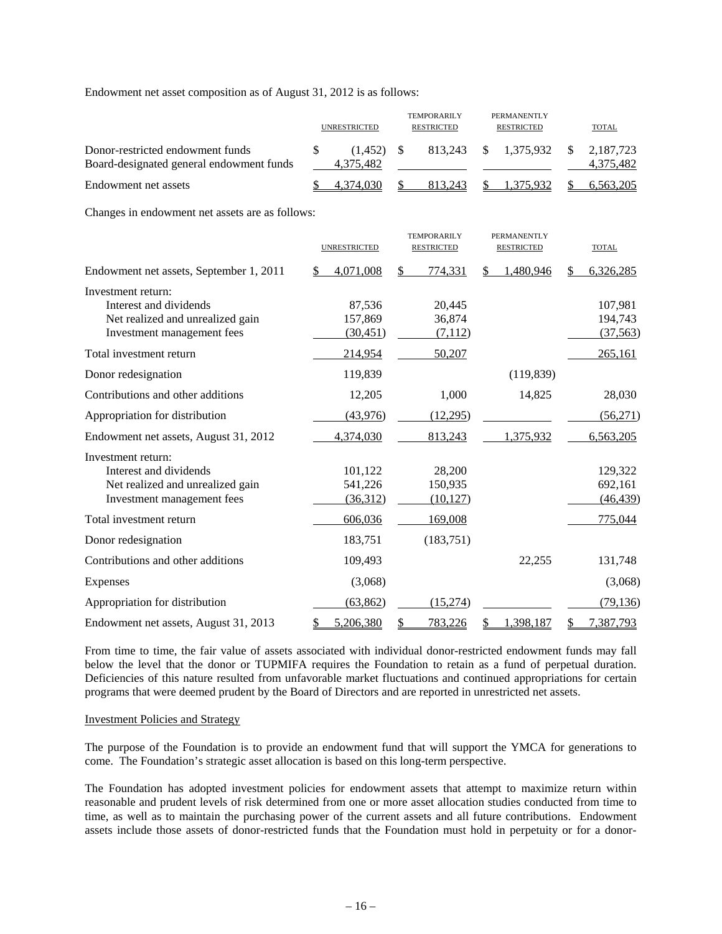Endowment net asset composition as of August 31, 2012 is as follows:

|                                                                              | <b>UNRESTRICTED</b>       | <b>TEMPORARILY</b><br><b>RESTRICTED</b> | PERMANENTLY<br><b>RESTRICTED</b>  | <b>TOTAL</b> |
|------------------------------------------------------------------------------|---------------------------|-----------------------------------------|-----------------------------------|--------------|
| Donor-restricted endowment funds<br>Board-designated general endowment funds | $(1.452)$ \$<br>4.375.482 |                                         | 813,243 \$ 1,375,932 \$ 2,187,723 | 4.375.482    |
| Endowment net assets                                                         | 4.374.030                 | 813.243                                 | 1.375.932                         | 6.563.205    |

Changes in endowment net assets are as follows:

|                                                                                                                | <b>UNRESTRICTED</b>            | <b>TEMPORARILY</b><br><b>RESTRICTED</b> | <b>PERMANENTLY</b><br><b>RESTRICTED</b> | <b>TOTAL</b>                    |
|----------------------------------------------------------------------------------------------------------------|--------------------------------|-----------------------------------------|-----------------------------------------|---------------------------------|
| Endowment net assets, September 1, 2011                                                                        | 4,071,008<br>S.                | \$<br>774,331                           | \$<br>1,480,946                         | 6,326,285<br>S                  |
| Investment return:<br>Interest and dividends<br>Net realized and unrealized gain<br>Investment management fees | 87,536<br>157,869<br>(30, 451) | 20,445<br>36,874<br>(7,112)             |                                         | 107,981<br>194,743<br>(37, 563) |
| Total investment return                                                                                        | 214,954                        | 50,207                                  |                                         | 265,161                         |
| Donor redesignation                                                                                            | 119,839                        |                                         | (119, 839)                              |                                 |
| Contributions and other additions                                                                              | 12,205                         | 1,000                                   | 14,825                                  | 28,030                          |
| Appropriation for distribution                                                                                 | (43,976)                       | (12,295)                                |                                         | (56,271)                        |
| Endowment net assets, August 31, 2012                                                                          | 4,374,030                      | 813,243                                 | 1,375,932                               | 6,563,205                       |
| Investment return:<br>Interest and dividends<br>Net realized and unrealized gain<br>Investment management fees | 101,122<br>541,226<br>(36,312) | 28,200<br>150,935<br>(10, 127)          |                                         | 129,322<br>692,161<br>(46, 439) |
| Total investment return                                                                                        | 606,036                        | 169,008                                 |                                         | 775,044                         |
| Donor redesignation                                                                                            | 183,751                        | (183, 751)                              |                                         |                                 |
| Contributions and other additions                                                                              | 109,493                        |                                         | 22,255                                  | 131,748                         |
| Expenses                                                                                                       | (3,068)                        |                                         |                                         | (3,068)                         |
| Appropriation for distribution                                                                                 | (63, 862)                      | (15,274)                                |                                         | (79, 136)                       |
| Endowment net assets, August 31, 2013                                                                          | 5,206,380<br>S                 | 783,226<br>S                            | .398.187<br>S                           | 7,387,793<br>S                  |

From time to time, the fair value of assets associated with individual donor-restricted endowment funds may fall below the level that the donor or TUPMIFA requires the Foundation to retain as a fund of perpetual duration. Deficiencies of this nature resulted from unfavorable market fluctuations and continued appropriations for certain programs that were deemed prudent by the Board of Directors and are reported in unrestricted net assets.

### Investment Policies and Strategy

The purpose of the Foundation is to provide an endowment fund that will support the YMCA for generations to come. The Foundation's strategic asset allocation is based on this long-term perspective.

The Foundation has adopted investment policies for endowment assets that attempt to maximize return within reasonable and prudent levels of risk determined from one or more asset allocation studies conducted from time to time, as well as to maintain the purchasing power of the current assets and all future contributions. Endowment assets include those assets of donor-restricted funds that the Foundation must hold in perpetuity or for a donor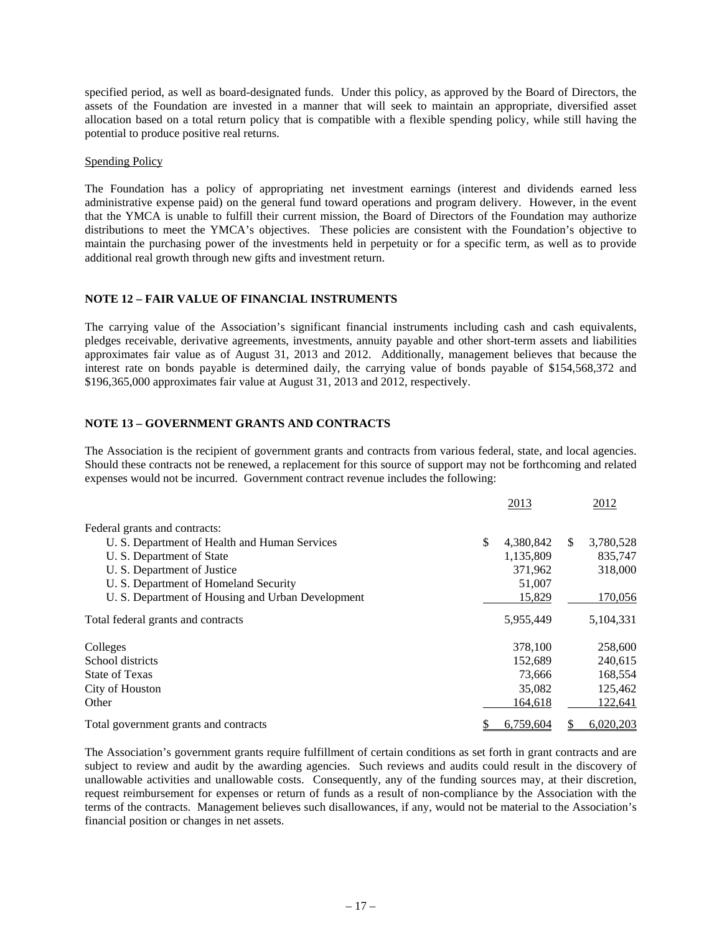specified period, as well as board-designated funds. Under this policy, as approved by the Board of Directors, the assets of the Foundation are invested in a manner that will seek to maintain an appropriate, diversified asset allocation based on a total return policy that is compatible with a flexible spending policy, while still having the potential to produce positive real returns.

### Spending Policy

The Foundation has a policy of appropriating net investment earnings (interest and dividends earned less administrative expense paid) on the general fund toward operations and program delivery. However, in the event that the YMCA is unable to fulfill their current mission, the Board of Directors of the Foundation may authorize distributions to meet the YMCA's objectives. These policies are consistent with the Foundation's objective to maintain the purchasing power of the investments held in perpetuity or for a specific term, as well as to provide additional real growth through new gifts and investment return.

## **NOTE 12 – FAIR VALUE OF FINANCIAL INSTRUMENTS**

The carrying value of the Association's significant financial instruments including cash and cash equivalents, pledges receivable, derivative agreements, investments, annuity payable and other short-term assets and liabilities approximates fair value as of August 31, 2013 and 2012. Additionally, management believes that because the interest rate on bonds payable is determined daily, the carrying value of bonds payable of \$154,568,372 and \$196,365,000 approximates fair value at August 31, 2013 and 2012, respectively.

## **NOTE 13 – GOVERNMENT GRANTS AND CONTRACTS**

The Association is the recipient of government grants and contracts from various federal, state, and local agencies. Should these contracts not be renewed, a replacement for this source of support may not be forthcoming and related expenses would not be incurred. Government contract revenue includes the following:

|                                                   | 2013            |     | 2012           |
|---------------------------------------------------|-----------------|-----|----------------|
| Federal grants and contracts:                     |                 |     |                |
| U. S. Department of Health and Human Services     | \$<br>4,380,842 | \$. | 3,780,528      |
| U. S. Department of State                         | 1,135,809       |     | 835,747        |
| U. S. Department of Justice                       | 371,962         |     | 318,000        |
| U. S. Department of Homeland Security             | 51,007          |     |                |
| U. S. Department of Housing and Urban Development | 15,829          |     | 170,056        |
| Total federal grants and contracts                | 5,955,449       |     | 5,104,331      |
| Colleges                                          | 378,100         |     | 258,600        |
| School districts                                  | 152,689         |     | 240,615        |
| <b>State of Texas</b>                             | 73,666          |     | 168,554        |
| City of Houston                                   | 35,082          |     | 125,462        |
| Other                                             | 164,618         |     | <u>122,641</u> |
| Total government grants and contracts             | 6,759,604       |     | 6.020.203      |

The Association's government grants require fulfillment of certain conditions as set forth in grant contracts and are subject to review and audit by the awarding agencies. Such reviews and audits could result in the discovery of unallowable activities and unallowable costs. Consequently, any of the funding sources may, at their discretion, request reimbursement for expenses or return of funds as a result of non-compliance by the Association with the terms of the contracts. Management believes such disallowances, if any, would not be material to the Association's financial position or changes in net assets.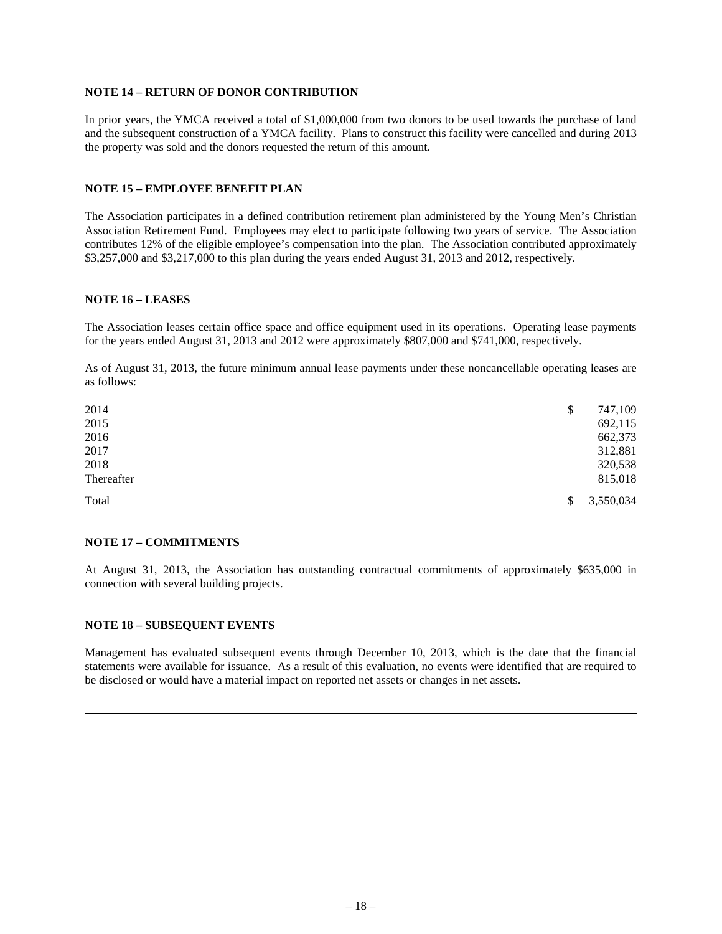### **NOTE 14 – RETURN OF DONOR CONTRIBUTION**

In prior years, the YMCA received a total of \$1,000,000 from two donors to be used towards the purchase of land and the subsequent construction of a YMCA facility. Plans to construct this facility were cancelled and during 2013 the property was sold and the donors requested the return of this amount.

### **NOTE 15 – EMPLOYEE BENEFIT PLAN**

The Association participates in a defined contribution retirement plan administered by the Young Men's Christian Association Retirement Fund. Employees may elect to participate following two years of service. The Association contributes 12% of the eligible employee's compensation into the plan. The Association contributed approximately \$3,257,000 and \$3,217,000 to this plan during the years ended August 31, 2013 and 2012, respectively.

#### **NOTE 16 – LEASES**

The Association leases certain office space and office equipment used in its operations. Operating lease payments for the years ended August 31, 2013 and 2012 were approximately \$807,000 and \$741,000, respectively.

As of August 31, 2013, the future minimum annual lease payments under these noncancellable operating leases are as follows:

| 2014       | \$<br>747,109 |
|------------|---------------|
| 2015       | 692,115       |
| 2016       | 662,373       |
| 2017       | 312,881       |
| 2018       | 320,538       |
| Thereafter | 815,018       |
| Total      | 3,550,034     |

#### **NOTE 17 – COMMITMENTS**

At August 31, 2013, the Association has outstanding contractual commitments of approximately \$635,000 in connection with several building projects.

#### **NOTE 18 – SUBSEQUENT EVENTS**

Management has evaluated subsequent events through December 10, 2013, which is the date that the financial statements were available for issuance. As a result of this evaluation, no events were identified that are required to be disclosed or would have a material impact on reported net assets or changes in net assets.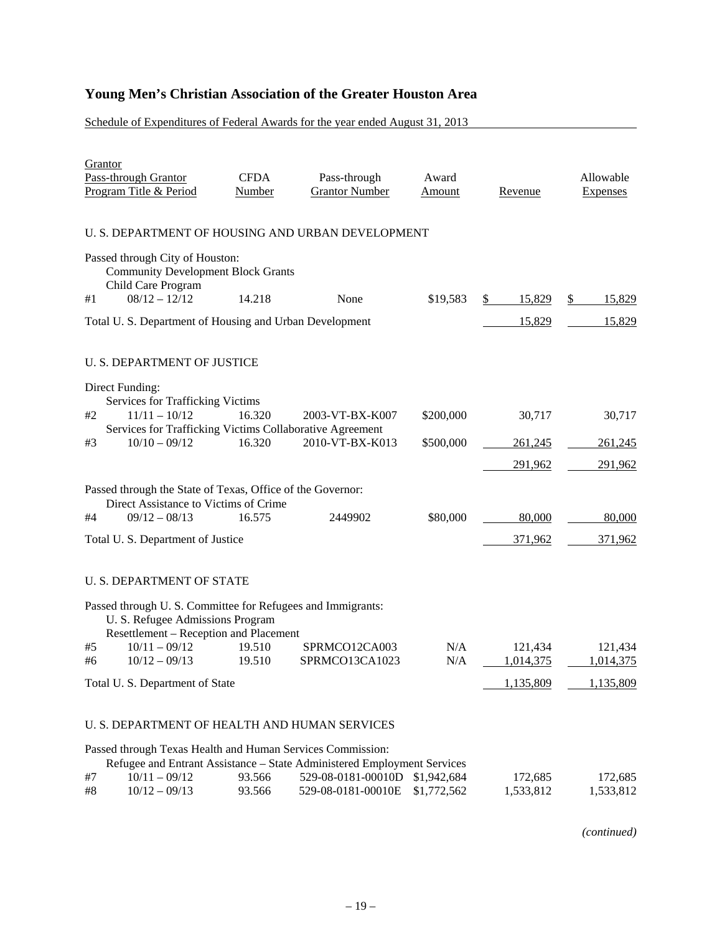Schedule of Expenditures of Federal Awards for the year ended August 31, 2013

| Grantor |                                                                                                                                          |                       |                                                                         |                 |              |                       |
|---------|------------------------------------------------------------------------------------------------------------------------------------------|-----------------------|-------------------------------------------------------------------------|-----------------|--------------|-----------------------|
|         | Pass-through Grantor<br>Program Title & Period                                                                                           | <b>CFDA</b><br>Number | Pass-through<br><b>Grantor Number</b>                                   | Award<br>Amount | Revenue      | Allowable<br>Expenses |
|         |                                                                                                                                          |                       | U. S. DEPARTMENT OF HOUSING AND URBAN DEVELOPMENT                       |                 |              |                       |
|         | Passed through City of Houston:                                                                                                          |                       |                                                                         |                 |              |                       |
|         | <b>Community Development Block Grants</b><br>Child Care Program                                                                          |                       |                                                                         |                 |              |                       |
| #1      | $08/12 - 12/12$                                                                                                                          | 14.218                | None                                                                    | \$19,583        | 15,829<br>\$ | 15,829<br>\$          |
|         | Total U.S. Department of Housing and Urban Development                                                                                   |                       |                                                                         |                 | 15,829       | 15,829                |
|         | <b>U. S. DEPARTMENT OF JUSTICE</b>                                                                                                       |                       |                                                                         |                 |              |                       |
|         | Direct Funding:<br>Services for Trafficking Victims                                                                                      |                       |                                                                         |                 |              |                       |
| #2      | $11/11 - 10/12$                                                                                                                          | 16.320                | 2003-VT-BX-K007                                                         | \$200,000       | 30,717       | 30,717                |
| #3      | Services for Trafficking Victims Collaborative Agreement<br>$10/10 - 09/12$                                                              | 16.320                | 2010-VT-BX-K013                                                         | \$500,000       | 261,245      | 261,245               |
|         |                                                                                                                                          |                       |                                                                         |                 | 291,962      | 291,962               |
|         |                                                                                                                                          |                       |                                                                         |                 |              |                       |
|         | Passed through the State of Texas, Office of the Governor:<br>Direct Assistance to Victims of Crime                                      |                       |                                                                         |                 |              |                       |
| #4      | $09/12 - 08/13$                                                                                                                          | 16.575                | 2449902                                                                 | \$80,000        | 80,000       | 80,000                |
|         | Total U.S. Department of Justice                                                                                                         |                       |                                                                         |                 | 371,962      | 371,962               |
|         | <b>U. S. DEPARTMENT OF STATE</b>                                                                                                         |                       |                                                                         |                 |              |                       |
|         | Passed through U.S. Committee for Refugees and Immigrants:<br>U. S. Refugee Admissions Program<br>Resettlement - Reception and Placement |                       |                                                                         |                 |              |                       |
| #5      | $10/11 - 09/12$                                                                                                                          | 19.510                | SPRMCO12CA003                                                           | N/A             | 121,434      | 121,434               |
| #6      | $10/12 - 09/13$                                                                                                                          | 19.510                | SPRMCO13CA1023                                                          | N/A             | 1,014,375    | 1,014,375             |
|         | Total U.S. Department of State                                                                                                           |                       |                                                                         |                 | 1,135,809    | 1,135,809             |
|         |                                                                                                                                          |                       | U. S. DEPARTMENT OF HEALTH AND HUMAN SERVICES                           |                 |              |                       |
|         | Passed through Texas Health and Human Services Commission:                                                                               |                       | Refugee and Entrant Assistance - State Administered Employment Services |                 |              |                       |
| #7      | $10/11 - 09/12$                                                                                                                          | 93.566                | 529-08-0181-00010D                                                      | \$1,942,684     | 172,685      | 172,685               |
| #8      | $10/12 - 09/13$                                                                                                                          | 93.566                | 529-08-0181-00010E                                                      | \$1,772,562     | 1,533,812    | 1,533,812             |

*(continued)*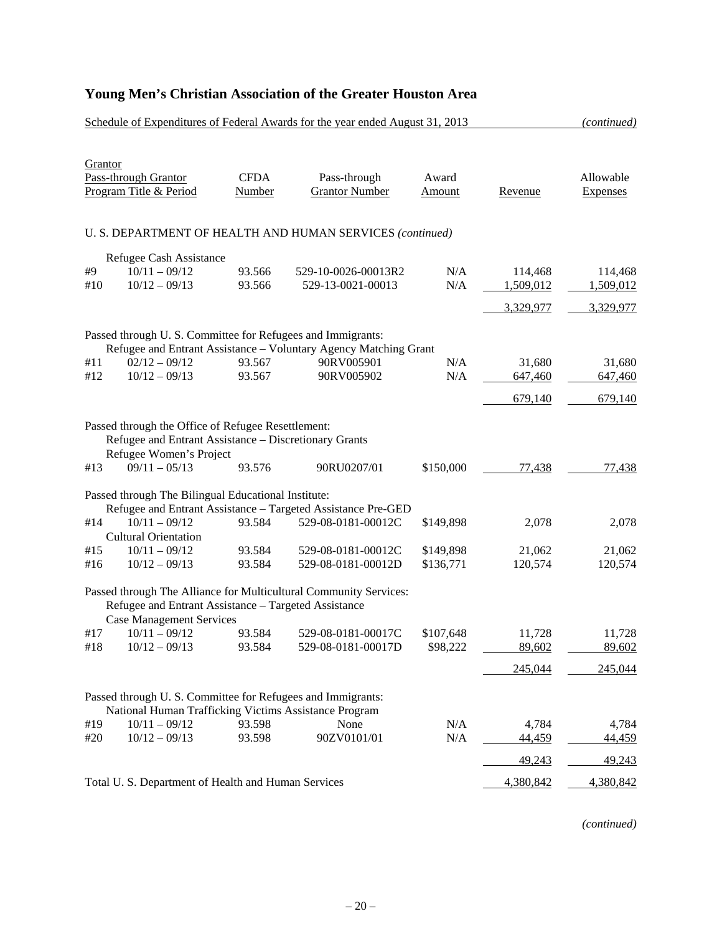| Schedule of Expenditures of Federal Awards for the year ended August 31, 2013 |                                                                                                                     |                  |                                                                   |                        |                   |                   |
|-------------------------------------------------------------------------------|---------------------------------------------------------------------------------------------------------------------|------------------|-------------------------------------------------------------------|------------------------|-------------------|-------------------|
| Grantor                                                                       |                                                                                                                     |                  |                                                                   |                        |                   |                   |
|                                                                               | Pass-through Grantor                                                                                                | <b>CFDA</b>      | Pass-through                                                      | Award                  |                   | Allowable         |
|                                                                               | Program Title & Period                                                                                              | <b>Number</b>    | <b>Grantor Number</b>                                             | <b>Amount</b>          | Revenue           | <b>Expenses</b>   |
|                                                                               |                                                                                                                     |                  | U. S. DEPARTMENT OF HEALTH AND HUMAN SERVICES (continued)         |                        |                   |                   |
|                                                                               | Refugee Cash Assistance                                                                                             |                  |                                                                   |                        |                   |                   |
| #9                                                                            | $10/11 - 09/12$                                                                                                     | 93.566           | 529-10-0026-00013R2                                               | N/A                    | 114,468           | 114,468           |
| #10                                                                           | $10/12 - 09/13$                                                                                                     | 93.566           | 529-13-0021-00013                                                 | N/A                    | 1,509,012         | 1,509,012         |
|                                                                               |                                                                                                                     |                  |                                                                   |                        | 3,329,977         | 3,329,977         |
|                                                                               | Passed through U.S. Committee for Refugees and Immigrants:                                                          |                  |                                                                   |                        |                   |                   |
|                                                                               |                                                                                                                     |                  | Refugee and Entrant Assistance - Voluntary Agency Matching Grant  |                        |                   |                   |
| #11                                                                           | $02/12 - 09/12$                                                                                                     | 93.567           | 90RV005901                                                        | N/A                    | 31,680            | 31,680            |
| #12                                                                           | $10/12 - 09/13$                                                                                                     | 93.567           | 90RV005902                                                        | N/A                    | 647,460           | 647,460           |
|                                                                               |                                                                                                                     |                  |                                                                   |                        | 679,140           | 679,140           |
|                                                                               | Passed through the Office of Refugee Resettlement:<br>Refugee and Entrant Assistance - Discretionary Grants         |                  |                                                                   |                        |                   |                   |
|                                                                               | Refugee Women's Project                                                                                             |                  |                                                                   |                        |                   |                   |
| #13                                                                           | $09/11 - 05/13$                                                                                                     | 93.576           | 90RU0207/01                                                       | \$150,000              | 77,438            | 77,438            |
|                                                                               | Passed through The Bilingual Educational Institute:                                                                 |                  |                                                                   |                        |                   |                   |
|                                                                               |                                                                                                                     |                  | Refugee and Entrant Assistance - Targeted Assistance Pre-GED      |                        |                   |                   |
| #14                                                                           | $10/11 - 09/12$                                                                                                     | 93.584           | 529-08-0181-00012C                                                | \$149,898              | 2,078             | 2,078             |
|                                                                               | <b>Cultural Orientation</b>                                                                                         |                  |                                                                   |                        |                   |                   |
| #15<br>#16                                                                    | $10/11 - 09/12$<br>$10/12 - 09/13$                                                                                  | 93.584<br>93.584 | 529-08-0181-00012C<br>529-08-0181-00012D                          | \$149,898<br>\$136,771 | 21,062<br>120,574 | 21,062<br>120,574 |
|                                                                               |                                                                                                                     |                  |                                                                   |                        |                   |                   |
|                                                                               | Refugee and Entrant Assistance - Targeted Assistance                                                                |                  | Passed through The Alliance for Multicultural Community Services: |                        |                   |                   |
|                                                                               | <b>Case Management Services</b>                                                                                     |                  |                                                                   |                        |                   |                   |
| #17                                                                           | $10/11 - 09/12$                                                                                                     | 93.584           | 529-08-0181-00017C                                                | \$107,648              | 11,728            | 11,728            |
| #18                                                                           | $10/12 - 09/13$                                                                                                     | 93.584           | 529-08-0181-00017D                                                | \$98,222               | 89,602            | 89,602            |
|                                                                               |                                                                                                                     |                  |                                                                   |                        | 245,044           | 245,044           |
|                                                                               | Passed through U.S. Committee for Refugees and Immigrants:<br>National Human Trafficking Victims Assistance Program |                  |                                                                   |                        |                   |                   |
| #19                                                                           | $10/11 - 09/12$                                                                                                     | 93.598           | None                                                              | N/A                    | 4,784             | 4,784             |
| #20                                                                           | $10/12 - 09/13$                                                                                                     | 93.598           | 90ZV0101/01                                                       | N/A                    | 44,459            | 44,459            |
|                                                                               |                                                                                                                     |                  |                                                                   |                        | 49,243            | 49,243            |
|                                                                               | Total U.S. Department of Health and Human Services                                                                  |                  |                                                                   |                        | 4,380,842         | 4,380,842         |

*(continued)*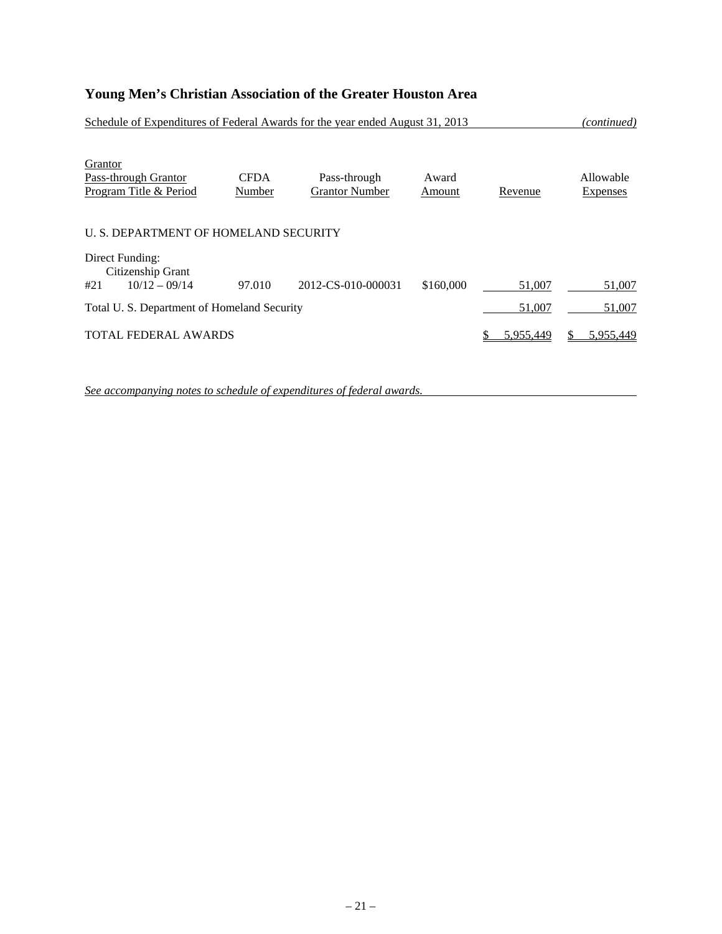| Schedule of Expenditures of Federal Awards for the year ended August 31, 2013 |                                                         |                       |                                       |                 |           |                       |  |  |  |
|-------------------------------------------------------------------------------|---------------------------------------------------------|-----------------------|---------------------------------------|-----------------|-----------|-----------------------|--|--|--|
| Grantor                                                                       | Pass-through Grantor<br>Program Title & Period          | <b>CFDA</b><br>Number | Pass-through<br><b>Grantor Number</b> | Award<br>Amount | Revenue   | Allowable<br>Expenses |  |  |  |
|                                                                               | U. S. DEPARTMENT OF HOMELAND SECURITY                   |                       |                                       |                 |           |                       |  |  |  |
| #21                                                                           | Direct Funding:<br>Citizenship Grant<br>$10/12 - 09/14$ | 97.010                | 2012-CS-010-000031                    | \$160,000       | 51,007    | 51,007                |  |  |  |
|                                                                               | Total U.S. Department of Homeland Security              | 51,007                | 51,007                                |                 |           |                       |  |  |  |
|                                                                               | TOTAL FEDERAL AWARDS                                    |                       |                                       |                 | 5,955,449 | 5,955,449             |  |  |  |

*See accompanying notes to schedule of expenditures of federal awards.*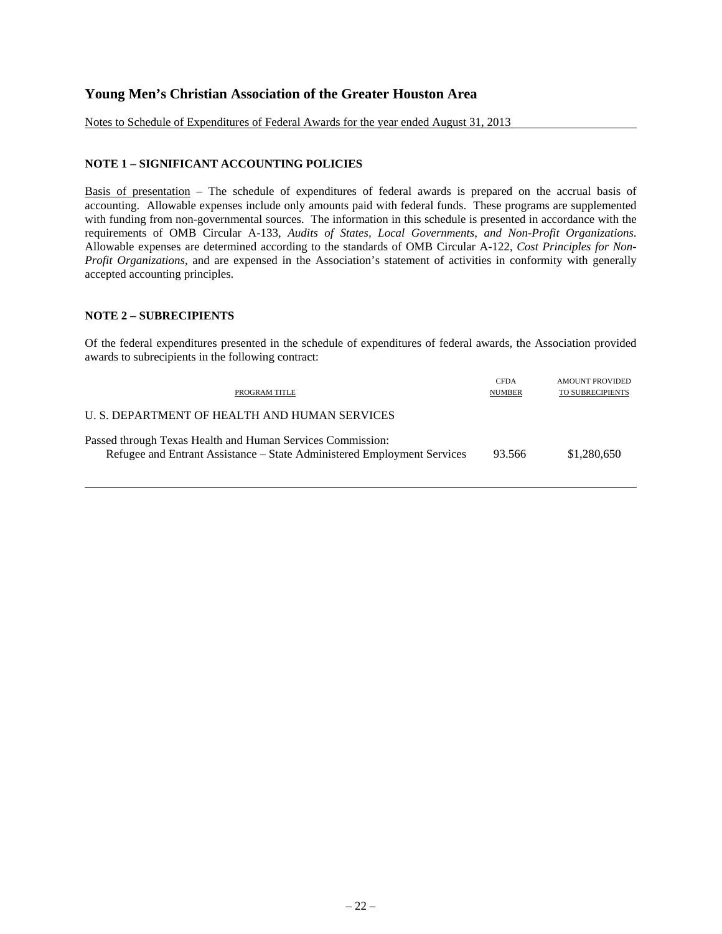Notes to Schedule of Expenditures of Federal Awards for the year ended August 31, 2013

## **NOTE 1 – SIGNIFICANT ACCOUNTING POLICIES**

Basis of presentation – The schedule of expenditures of federal awards is prepared on the accrual basis of accounting. Allowable expenses include only amounts paid with federal funds. These programs are supplemented with funding from non-governmental sources. The information in this schedule is presented in accordance with the requirements of OMB Circular A-133, *Audits of States, Local Governments, and Non-Profit Organizations*. Allowable expenses are determined according to the standards of OMB Circular A-122, *Cost Principles for Non-Profit Organizations*, and are expensed in the Association's statement of activities in conformity with generally accepted accounting principles.

#### **NOTE 2 – SUBRECIPIENTS**

Of the federal expenditures presented in the schedule of expenditures of federal awards, the Association provided awards to subrecipients in the following contract:

| PROGRAM TITLE                                                                                                                         | <b>CFDA</b><br><b>NUMBER</b> | <b>AMOUNT PROVIDED</b><br>TO SUBRECIPIENTS |
|---------------------------------------------------------------------------------------------------------------------------------------|------------------------------|--------------------------------------------|
| U. S. DEPARTMENT OF HEALTH AND HUMAN SERVICES                                                                                         |                              |                                            |
| Passed through Texas Health and Human Services Commission:<br>Refugee and Entrant Assistance – State Administered Employment Services | 93.566                       | \$1,280,650                                |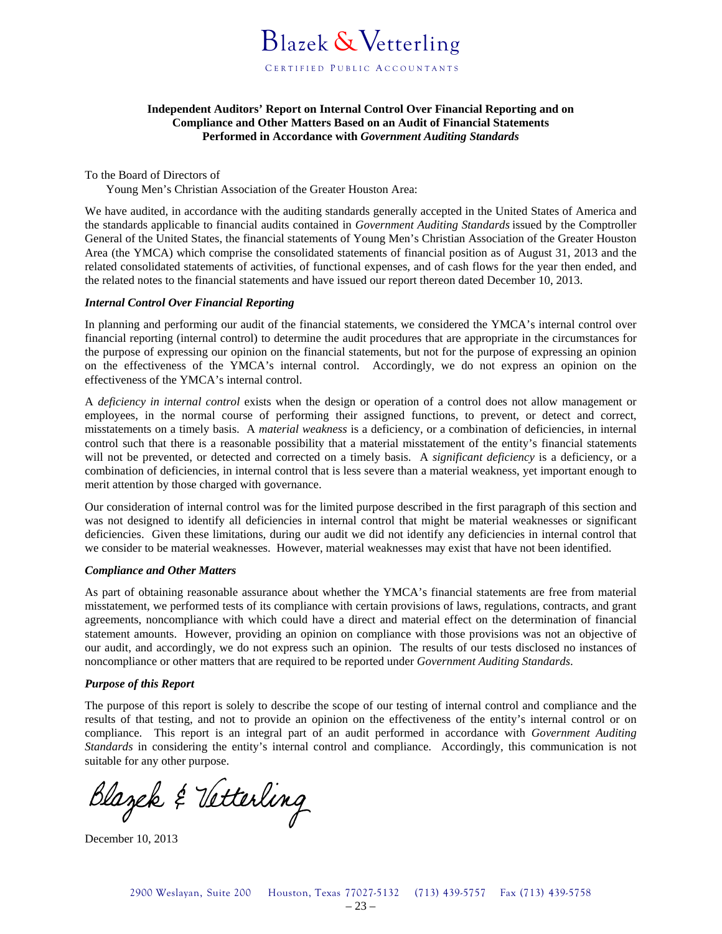

## **Independent Auditors' Report on Internal Control Over Financial Reporting and on Compliance and Other Matters Based on an Audit of Financial Statements Performed in Accordance with** *Government Auditing Standards*

### To the Board of Directors of

Young Men's Christian Association of the Greater Houston Area:

We have audited, in accordance with the auditing standards generally accepted in the United States of America and the standards applicable to financial audits contained in *Government Auditing Standards* issued by the Comptroller General of the United States, the financial statements of Young Men's Christian Association of the Greater Houston Area (the YMCA) which comprise the consolidated statements of financial position as of August 31, 2013 and the related consolidated statements of activities, of functional expenses, and of cash flows for the year then ended, and the related notes to the financial statements and have issued our report thereon dated December 10, 2013.

### *Internal Control Over Financial Reporting*

In planning and performing our audit of the financial statements, we considered the YMCA's internal control over financial reporting (internal control) to determine the audit procedures that are appropriate in the circumstances for the purpose of expressing our opinion on the financial statements, but not for the purpose of expressing an opinion on the effectiveness of the YMCA's internal control. Accordingly, we do not express an opinion on the effectiveness of the YMCA's internal control.

A *deficiency in internal control* exists when the design or operation of a control does not allow management or employees, in the normal course of performing their assigned functions, to prevent, or detect and correct, misstatements on a timely basis. A *material weakness* is a deficiency, or a combination of deficiencies, in internal control such that there is a reasonable possibility that a material misstatement of the entity's financial statements will not be prevented, or detected and corrected on a timely basis. A *significant deficiency* is a deficiency, or a combination of deficiencies, in internal control that is less severe than a material weakness, yet important enough to merit attention by those charged with governance.

Our consideration of internal control was for the limited purpose described in the first paragraph of this section and was not designed to identify all deficiencies in internal control that might be material weaknesses or significant deficiencies. Given these limitations, during our audit we did not identify any deficiencies in internal control that we consider to be material weaknesses. However, material weaknesses may exist that have not been identified.

#### *Compliance and Other Matters*

As part of obtaining reasonable assurance about whether the YMCA's financial statements are free from material misstatement, we performed tests of its compliance with certain provisions of laws, regulations, contracts, and grant agreements, noncompliance with which could have a direct and material effect on the determination of financial statement amounts. However, providing an opinion on compliance with those provisions was not an objective of our audit, and accordingly, we do not express such an opinion. The results of our tests disclosed no instances of noncompliance or other matters that are required to be reported under *Government Auditing Standards*.

## *Purpose of this Report*

The purpose of this report is solely to describe the scope of our testing of internal control and compliance and the results of that testing, and not to provide an opinion on the effectiveness of the entity's internal control or on compliance. This report is an integral part of an audit performed in accordance with *Government Auditing Standards* in considering the entity's internal control and compliance. Accordingly, this communication is not suitable for any other purpose.

Blazek & Vetterling

December 10, 2013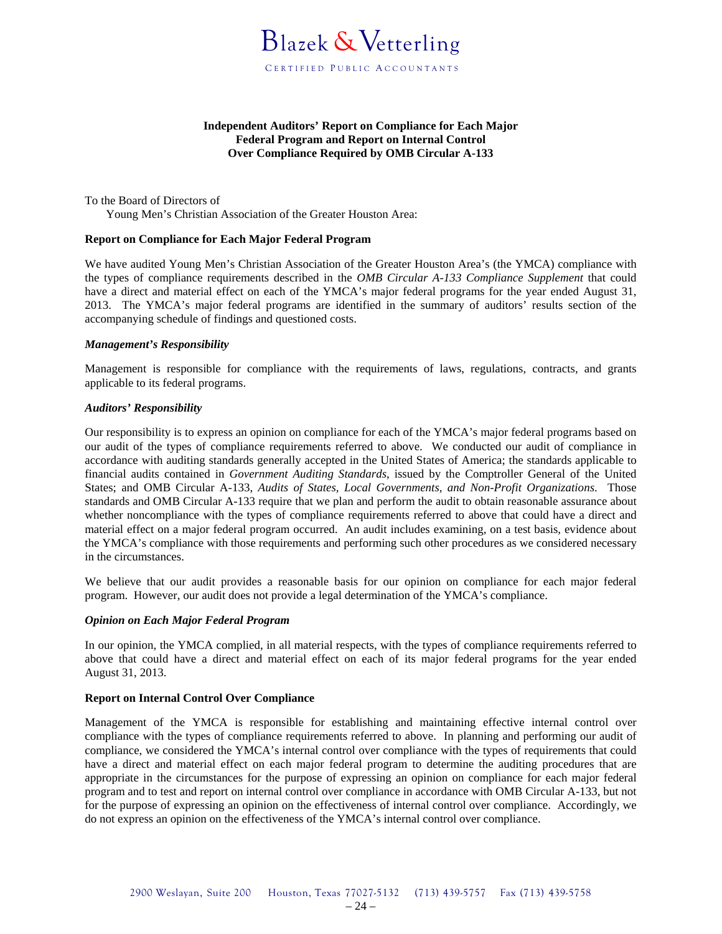

## **Independent Auditors' Report on Compliance for Each Major Federal Program and Report on Internal Control Over Compliance Required by OMB Circular A-133**

To the Board of Directors of Young Men's Christian Association of the Greater Houston Area:

#### **Report on Compliance for Each Major Federal Program**

We have audited Young Men's Christian Association of the Greater Houston Area's (the YMCA) compliance with the types of compliance requirements described in the *OMB Circular A-133 Compliance Supplement* that could have a direct and material effect on each of the YMCA's major federal programs for the year ended August 31, 2013. The YMCA's major federal programs are identified in the summary of auditors' results section of the accompanying schedule of findings and questioned costs.

#### *Management's Responsibility*

Management is responsible for compliance with the requirements of laws, regulations, contracts, and grants applicable to its federal programs.

#### *Auditors' Responsibility*

Our responsibility is to express an opinion on compliance for each of the YMCA's major federal programs based on our audit of the types of compliance requirements referred to above. We conducted our audit of compliance in accordance with auditing standards generally accepted in the United States of America; the standards applicable to financial audits contained in *Government Auditing Standards*, issued by the Comptroller General of the United States; and OMB Circular A-133, *Audits of States, Local Governments, and Non-Profit Organizations*. Those standards and OMB Circular A-133 require that we plan and perform the audit to obtain reasonable assurance about whether noncompliance with the types of compliance requirements referred to above that could have a direct and material effect on a major federal program occurred. An audit includes examining, on a test basis, evidence about the YMCA's compliance with those requirements and performing such other procedures as we considered necessary in the circumstances.

We believe that our audit provides a reasonable basis for our opinion on compliance for each major federal program. However, our audit does not provide a legal determination of the YMCA's compliance.

#### *Opinion on Each Major Federal Program*

In our opinion, the YMCA complied, in all material respects, with the types of compliance requirements referred to above that could have a direct and material effect on each of its major federal programs for the year ended August 31, 2013.

#### **Report on Internal Control Over Compliance**

Management of the YMCA is responsible for establishing and maintaining effective internal control over compliance with the types of compliance requirements referred to above. In planning and performing our audit of compliance, we considered the YMCA's internal control over compliance with the types of requirements that could have a direct and material effect on each major federal program to determine the auditing procedures that are appropriate in the circumstances for the purpose of expressing an opinion on compliance for each major federal program and to test and report on internal control over compliance in accordance with OMB Circular A-133, but not for the purpose of expressing an opinion on the effectiveness of internal control over compliance. Accordingly, we do not express an opinion on the effectiveness of the YMCA's internal control over compliance.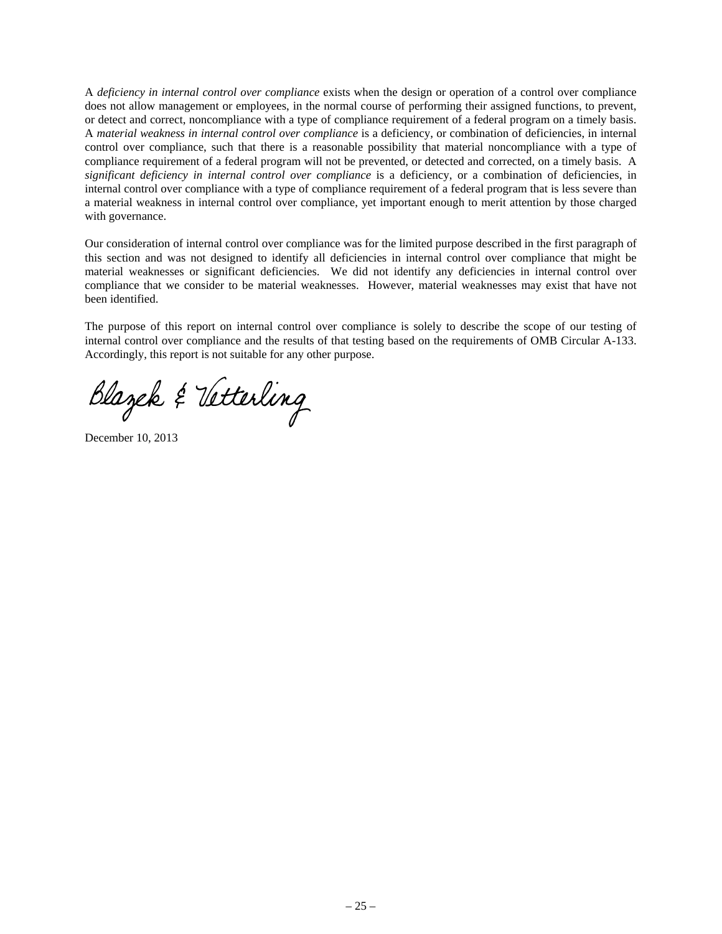A *deficiency in internal control over compliance* exists when the design or operation of a control over compliance does not allow management or employees, in the normal course of performing their assigned functions, to prevent, or detect and correct, noncompliance with a type of compliance requirement of a federal program on a timely basis. A *material weakness in internal control over compliance* is a deficiency, or combination of deficiencies, in internal control over compliance, such that there is a reasonable possibility that material noncompliance with a type of compliance requirement of a federal program will not be prevented, or detected and corrected, on a timely basis. A *significant deficiency in internal control over compliance* is a deficiency, or a combination of deficiencies, in internal control over compliance with a type of compliance requirement of a federal program that is less severe than a material weakness in internal control over compliance, yet important enough to merit attention by those charged with governance.

Our consideration of internal control over compliance was for the limited purpose described in the first paragraph of this section and was not designed to identify all deficiencies in internal control over compliance that might be material weaknesses or significant deficiencies. We did not identify any deficiencies in internal control over compliance that we consider to be material weaknesses. However, material weaknesses may exist that have not been identified.

The purpose of this report on internal control over compliance is solely to describe the scope of our testing of internal control over compliance and the results of that testing based on the requirements of OMB Circular A-133. Accordingly, this report is not suitable for any other purpose.

Blazek & Vetterling

December 10, 2013